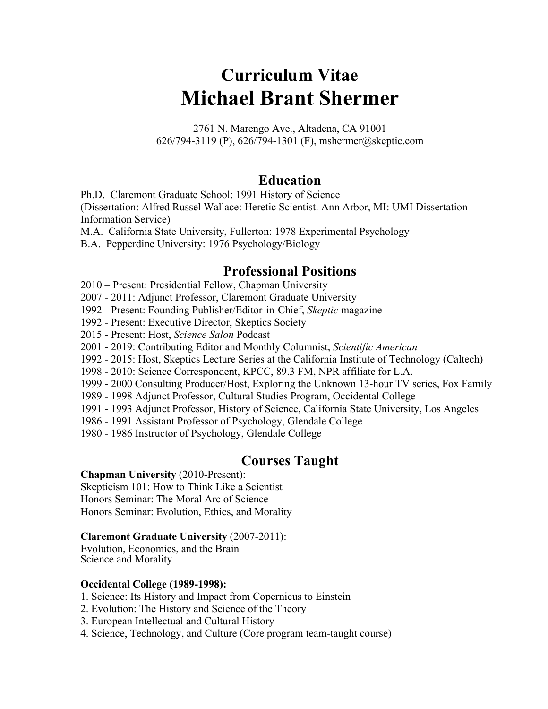# **Curriculum Vitae Michael Brant Shermer**

2761 N. Marengo Ave., Altadena, CA 91001 626/794-3119 (P), 626/794-1301 (F), mshermer@skeptic.com

# **Education**

Ph.D. Claremont Graduate School: 1991 History of Science

(Dissertation: Alfred Russel Wallace: Heretic Scientist. Ann Arbor, MI: UMI Dissertation Information Service)

M.A. California State University, Fullerton: 1978 Experimental Psychology

B.A. Pepperdine University: 1976 Psychology/Biology

# **Professional Positions**

- 2010 Present: Presidential Fellow, Chapman University
- 2007 2011: Adjunct Professor, Claremont Graduate University
- 1992 Present: Founding Publisher/Editor-in-Chief, *Skeptic* magazine
- 1992 Present: Executive Director, Skeptics Society
- 2015 Present: Host, *Science Salon* Podcast
- 2001 2019: Contributing Editor and Monthly Columnist, *Scientific American*
- 1992 2015: Host, Skeptics Lecture Series at the California Institute of Technology (Caltech)
- 1998 2010: Science Correspondent, KPCC, 89.3 FM, NPR affiliate for L.A.
- 1999 2000 Consulting Producer/Host, Exploring the Unknown 13-hour TV series, Fox Family
- 1989 1998 Adjunct Professor, Cultural Studies Program, Occidental College
- 1991 1993 Adjunct Professor, History of Science, California State University, Los Angeles
- 1986 1991 Assistant Professor of Psychology, Glendale College
- 1980 1986 Instructor of Psychology, Glendale College

# **Courses Taught**

### **Chapman University** (2010-Present):

Skepticism 101: How to Think Like a Scientist Honors Seminar: The Moral Arc of Science Honors Seminar: Evolution, Ethics, and Morality

### **Claremont Graduate University** (2007-2011):

Evolution, Economics, and the Brain Science and Morality

### **Occidental College (1989-1998):**

- 1. Science: Its History and Impact from Copernicus to Einstein
- 2. Evolution: The History and Science of the Theory
- 3. European Intellectual and Cultural History
- 4. Science, Technology, and Culture (Core program team-taught course)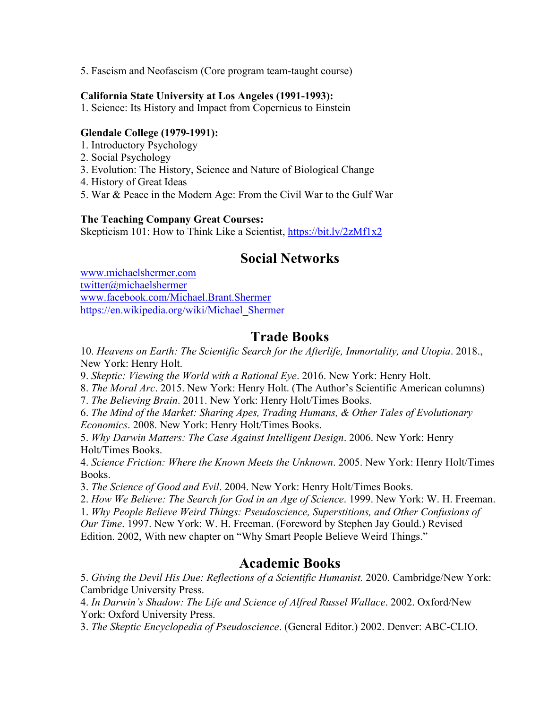5. Fascism and Neofascism (Core program team-taught course)

### **California State University at Los Angeles (1991-1993):**

1. Science: Its History and Impact from Copernicus to Einstein

### **Glendale College (1979-1991):**

- 1. Introductory Psychology
- 2. Social Psychology
- 3. Evolution: The History, Science and Nature of Biological Change
- 4. History of Great Ideas
- 5. War & Peace in the Modern Age: From the Civil War to the Gulf War

### **The Teaching Company Great Courses:**

Skepticism 101: How to Think Like a Scientist, https://bit.ly/2zMf1x2

# **Social Networks**

www.michaelshermer.com twitter@michaelshermer www.facebook.com/Michael.Brant.Shermer https://en.wikipedia.org/wiki/Michael\_Shermer

# **Trade Books**

10. *Heavens on Earth: The Scientific Search for the Afterlife, Immortality, and Utopia*. 2018., New York: Henry Holt.

9. *Skeptic: Viewing the World with a Rational Eye*. 2016. New York: Henry Holt.

8. *The Moral Arc*. 2015. New York: Henry Holt. (The Author's Scientific American columns)

7. *The Believing Brain*. 2011. New York: Henry Holt/Times Books.

6. *The Mind of the Market: Sharing Apes, Trading Humans, & Other Tales of Evolutionary Economics*. 2008. New York: Henry Holt/Times Books.

5. *Why Darwin Matters: The Case Against Intelligent Design*. 2006. New York: Henry Holt/Times Books.

4. *Science Friction: Where the Known Meets the Unknown*. 2005. New York: Henry Holt/Times Books.

3. *The Science of Good and Evil*. 2004. New York: Henry Holt/Times Books.

2. *How We Believe: The Search for God in an Age of Science*. 1999. New York: W. H. Freeman.

1. *Why People Believe Weird Things: Pseudoscience, Superstitions, and Other Confusions of* 

*Our Time*. 1997. New York: W. H. Freeman. (Foreword by Stephen Jay Gould.) Revised Edition. 2002, With new chapter on "Why Smart People Believe Weird Things."

# **Academic Books**

5. *Giving the Devil His Due: Reflections of a Scientific Humanist.* 2020. Cambridge/New York: Cambridge University Press.

4. *In Darwin's Shadow: The Life and Science of Alfred Russel Wallace*. 2002. Oxford/New York: Oxford University Press.

3. *The Skeptic Encyclopedia of Pseudoscience*. (General Editor.) 2002. Denver: ABC-CLIO.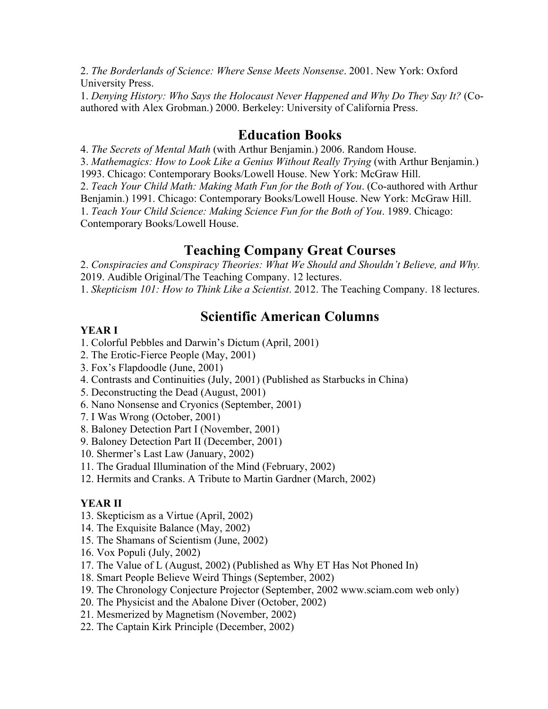2. *The Borderlands of Science: Where Sense Meets Nonsense*. 2001. New York: Oxford University Press.

1. *Denying History: Who Says the Holocaust Never Happened and Why Do They Say It?* (Coauthored with Alex Grobman.) 2000. Berkeley: University of California Press.

### **Education Books**

4. *The Secrets of Mental Math* (with Arthur Benjamin.) 2006. Random House.

3. *Mathemagics: How to Look Like a Genius Without Really Trying* (with Arthur Benjamin.)

1993. Chicago: Contemporary Books/Lowell House. New York: McGraw Hill.

2. *Teach Your Child Math: Making Math Fun for the Both of You*. (Co-authored with Arthur

Benjamin.) 1991. Chicago: Contemporary Books/Lowell House. New York: McGraw Hill. 1. *Teach Your Child Science: Making Science Fun for the Both of You*. 1989. Chicago: Contemporary Books/Lowell House.

### **Teaching Company Great Courses**

2. *Conspiracies and Conspiracy Theories: What We Should and Shouldn't Believe, and Why.*  2019. Audible Original/The Teaching Company. 12 lectures.

1. *Skepticism 101: How to Think Like a Scientist*. 2012. The Teaching Company. 18 lectures.

# **Scientific American Columns**

### **YEAR I**

- 1. Colorful Pebbles and Darwin's Dictum (April, 2001)
- 2. The Erotic-Fierce People (May, 2001)
- 3. Fox's Flapdoodle (June, 2001)
- 4. Contrasts and Continuities (July, 2001) (Published as Starbucks in China)
- 5. Deconstructing the Dead (August, 2001)
- 6. Nano Nonsense and Cryonics (September, 2001)
- 7. I Was Wrong (October, 2001)
- 8. Baloney Detection Part I (November, 2001)
- 9. Baloney Detection Part II (December, 2001)
- 10. Shermer's Last Law (January, 2002)
- 11. The Gradual Illumination of the Mind (February, 2002)
- 12. Hermits and Cranks. A Tribute to Martin Gardner (March, 2002)

#### **YEAR II**

- 13. Skepticism as a Virtue (April, 2002)
- 14. The Exquisite Balance (May, 2002)
- 15. The Shamans of Scientism (June, 2002)
- 16. Vox Populi (July, 2002)
- 17. The Value of L (August, 2002) (Published as Why ET Has Not Phoned In)
- 18. Smart People Believe Weird Things (September, 2002)
- 19. The Chronology Conjecture Projector (September, 2002 www.sciam.com web only)
- 20. The Physicist and the Abalone Diver (October, 2002)
- 21. Mesmerized by Magnetism (November, 2002)
- 22. The Captain Kirk Principle (December, 2002)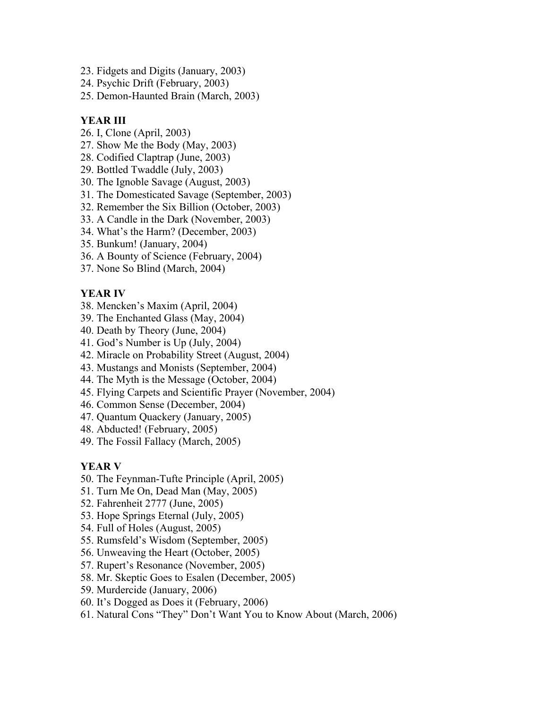- 23. Fidgets and Digits (January, 2003)
- 24. Psychic Drift (February, 2003)
- 25. Demon-Haunted Brain (March, 2003)

### **YEAR III**

- 26. I, Clone (April, 2003)
- 27. Show Me the Body (May, 2003)
- 28. Codified Claptrap (June, 2003)
- 29. Bottled Twaddle (July, 2003)
- 30. The Ignoble Savage (August, 2003)
- 31. The Domesticated Savage (September, 2003)
- 32. Remember the Six Billion (October, 2003)
- 33. A Candle in the Dark (November, 2003)
- 34. What's the Harm? (December, 2003)
- 35. Bunkum! (January, 2004)
- 36. A Bounty of Science (February, 2004)
- 37. None So Blind (March, 2004)

### **YEAR IV**

- 38. Mencken's Maxim (April, 2004)
- 39. The Enchanted Glass (May, 2004)
- 40. Death by Theory (June, 2004)
- 41. God's Number is Up (July, 2004)
- 42. Miracle on Probability Street (August, 2004)
- 43. Mustangs and Monists (September, 2004)
- 44. The Myth is the Message (October, 2004)
- 45. Flying Carpets and Scientific Prayer (November, 2004)
- 46. Common Sense (December, 2004)
- 47. Quantum Quackery (January, 2005)
- 48. Abducted! (February, 2005)
- 49. The Fossil Fallacy (March, 2005)

### **YEAR V**

- 50. The Feynman-Tufte Principle (April, 2005)
- 51. Turn Me On, Dead Man (May, 2005)
- 52. Fahrenheit 2777 (June, 2005)
- 53. Hope Springs Eternal (July, 2005)
- 54. Full of Holes (August, 2005)
- 55. Rumsfeld's Wisdom (September, 2005)
- 56. Unweaving the Heart (October, 2005)
- 57. Rupert's Resonance (November, 2005)
- 58. Mr. Skeptic Goes to Esalen (December, 2005)
- 59. Murdercide (January, 2006)
- 60. It's Dogged as Does it (February, 2006)
- 61. Natural Cons "They" Don't Want You to Know About (March, 2006)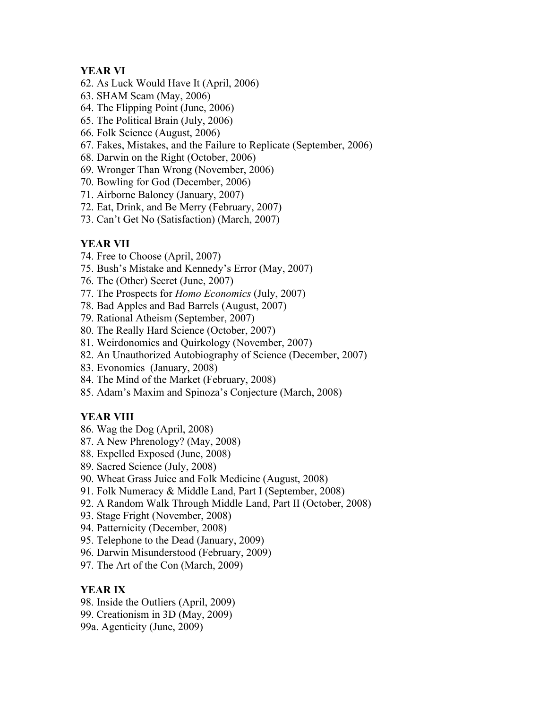### **YEAR VI**

- 62. As Luck Would Have It (April, 2006)
- 63. SHAM Scam (May, 2006)
- 64. The Flipping Point (June, 2006)
- 65. The Political Brain (July, 2006)
- 66. Folk Science (August, 2006)
- 67. Fakes, Mistakes, and the Failure to Replicate (September, 2006)
- 68. Darwin on the Right (October, 2006)
- 69. Wronger Than Wrong (November, 2006)
- 70. Bowling for God (December, 2006)
- 71. Airborne Baloney (January, 2007)
- 72. Eat, Drink, and Be Merry (February, 2007)
- 73. Can't Get No (Satisfaction) (March, 2007)

### **YEAR VII**

- 74. Free to Choose (April, 2007)
- 75. Bush's Mistake and Kennedy's Error (May, 2007)
- 76. The (Other) Secret (June, 2007)
- 77. The Prospects for *Homo Economics* (July, 2007)
- 78. Bad Apples and Bad Barrels (August, 2007)
- 79. Rational Atheism (September, 2007)
- 80. The Really Hard Science (October, 2007)
- 81. Weirdonomics and Quirkology (November, 2007)
- 82. An Unauthorized Autobiography of Science (December, 2007)
- 83. Evonomics (January, 2008)
- 84. The Mind of the Market (February, 2008)
- 85. Adam's Maxim and Spinoza's Conjecture (March, 2008)

### **YEAR VIII**

- 86. Wag the Dog (April, 2008)
- 87. A New Phrenology? (May, 2008)
- 88. Expelled Exposed (June, 2008)
- 89. Sacred Science (July, 2008)
- 90. Wheat Grass Juice and Folk Medicine (August, 2008)
- 91. Folk Numeracy & Middle Land, Part I (September, 2008)
- 92. A Random Walk Through Middle Land, Part II (October, 2008)
- 93. Stage Fright (November, 2008)
- 94. Patternicity (December, 2008)
- 95. Telephone to the Dead (January, 2009)
- 96. Darwin Misunderstood (February, 2009)
- 97. The Art of the Con (March, 2009)

### **YEAR IX**

- 98. Inside the Outliers (April, 2009)
- 99. Creationism in 3D (May, 2009)
- 99a. Agenticity (June, 2009)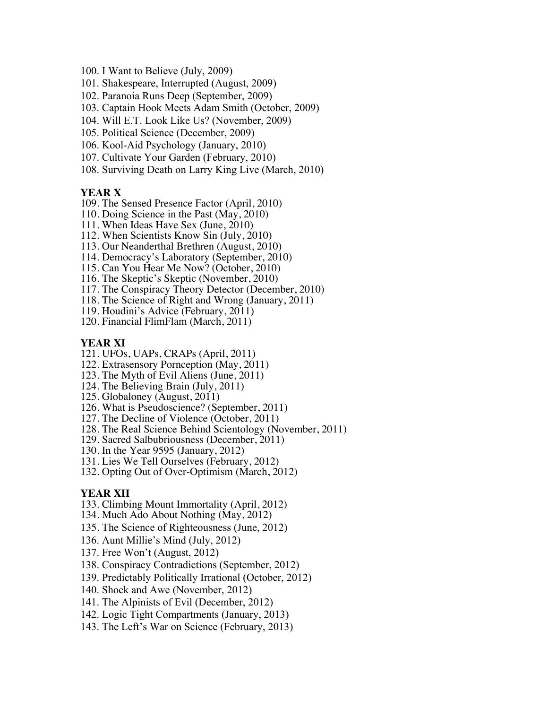- 100. I Want to Believe (July, 2009)
- 101. Shakespeare, Interrupted (August, 2009)
- 102. Paranoia Runs Deep (September, 2009)
- 103. Captain Hook Meets Adam Smith (October, 2009)
- 104. Will E.T. Look Like Us? (November, 2009)
- 105. Political Science (December, 2009)
- 106. Kool-Aid Psychology (January, 2010)
- 107. Cultivate Your Garden (February, 2010)
- 108. Surviving Death on Larry King Live (March, 2010)

#### **YEAR X**

- 109. The Sensed Presence Factor (April, 2010)
- 110. Doing Science in the Past (May, 2010)
- 111. When Ideas Have Sex (June, 2010)
- 112. When Scientists Know Sin (July, 2010)
- 113. Our Neanderthal Brethren (August, 2010)
- 114. Democracy's Laboratory (September, 2010)
- 115. Can You Hear Me Now? (October, 2010)
- 116. The Skeptic's Skeptic (November, 2010)
- 117. The Conspiracy Theory Detector (December, 2010)
- 118. The Science of Right and Wrong (January, 2011)
- 119. Houdini's Advice (February, 2011)
- 120. Financial FlimFlam (March, 2011)

#### **YEAR XI**

- 121. UFOs, UAPs, CRAPs (April, 2011)
- 122. Extrasensory Pornception (May, 2011)
- 123. The Myth of Evil Aliens (June, 2011)
- 124. The Believing Brain (July, 2011)
- 125. Globaloney (August, 2011)
- 126. What is Pseudoscience? (September, 2011)
- 127. The Decline of Violence (October, 2011)
- 128. The Real Science Behind Scientology (November, 2011)
- 129. Sacred Salbubriousness (December, 2011)
- 130. In the Year 9595 (January, 2012)
- 131. Lies We Tell Ourselves (February, 2012)
- 132. Opting Out of Over-Optimism (March, 2012)

#### **YEAR XII**

- 133. Climbing Mount Immortality (April, 2012)
- 134. Much Ado About Nothing (May, 2012)
- 135. The Science of Righteousness (June, 2012)
- 136. Aunt Millie's Mind (July, 2012)
- 137. Free Won't (August, 2012)
- 138. Conspiracy Contradictions (September, 2012)
- 139. Predictably Politically Irrational (October, 2012)
- 140. Shock and Awe (November, 2012)
- 141. The Alpinists of Evil (December, 2012)
- 142. Logic Tight Compartments (January, 2013)
- 143. The Left's War on Science (February, 2013)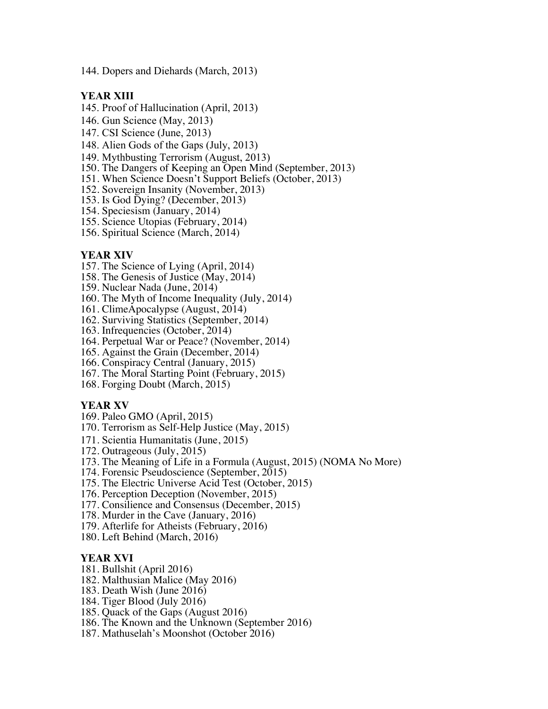144. Dopers and Diehards (March, 2013)

#### **YEAR XIII**

- 145. Proof of Hallucination (April, 2013)
- 146. Gun Science (May, 2013)
- 147. CSI Science (June, 2013)
- 148. Alien Gods of the Gaps (July, 2013)
- 149. Mythbusting Terrorism (August, 2013)
- 150. The Dangers of Keeping an Open Mind (September, 2013)
- 151. When Science Doesn't Support Beliefs (October, 2013)
- 152. Sovereign Insanity (November, 2013)
- 153. Is God Dying? (December, 2013)
- 154. Speciesism (January, 2014)
- 155. Science Utopias (February, 2014)
- 156. Spiritual Science (March, 2014)

#### **YEAR XIV**

- 157. The Science of Lying (April, 2014)
- 158. The Genesis of Justice (May, 2014)
- 159. Nuclear Nada (June, 2014)
- 160. The Myth of Income Inequality (July, 2014)
- 161. ClimeApocalypse (August, 2014)
- 162. Surviving Statistics (September, 2014)
- 163. Infrequencies (October, 2014)
- 164. Perpetual War or Peace? (November, 2014)
- 165. Against the Grain (December, 2014)
- 166. Conspiracy Central (January, 2015)
- 167. The Moral Starting Point (February, 2015)
- 168. Forging Doubt (March, 2015)

#### **YEAR XV**

- 169. Paleo GMO (April, 2015)
- 170. Terrorism as Self-Help Justice (May, 2015)
- 171. Scientia Humanitatis (June, 2015)
- 172. Outrageous (July, 2015)
- 173. The Meaning of Life in a Formula (August, 2015) (NOMA No More)
- 174. Forensic Pseudoscience (September, 2015)
- 175. The Electric Universe Acid Test (October, 2015)
- 176. Perception Deception (November, 2015)
- 177. Consilience and Consensus (December, 2015)
- 178. Murder in the Cave (January, 2016)
- 179. Afterlife for Atheists (February, 2016)
- 180. Left Behind (March, 2016)

#### **YEAR XVI**

- 181. Bullshit (April 2016)
- 182. Malthusian Malice (May 2016)
- 183. Death Wish (June 2016)
- 184. Tiger Blood (July 2016)
- 185. Quack of the Gaps (August 2016)
- 186. The Known and the Unknown (September 2016)
- 187. Mathuselah's Moonshot (October 2016)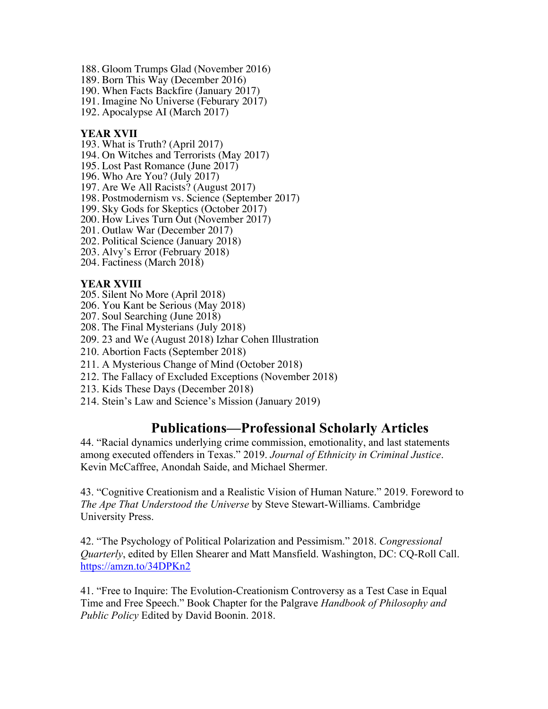- 188. Gloom Trumps Glad (November 2016)
- 189. Born This Way (December 2016)
- 190. When Facts Backfire (January 2017)
- 191. Imagine No Universe (Feburary 2017)
- 192. Apocalypse AI (March 2017)

### **YEAR XVII**

- 193. What is Truth? (April 2017)
- 194. On Witches and Terrorists (May 2017)
- 195. Lost Past Romance (June 2017)
- 196. Who Are You? (July 2017)
- 197. Are We All Racists? (August 2017)
- 198. Postmodernism vs. Science (September 2017)
- 199. Sky Gods for Skeptics (October 2017)
- 200. How Lives Turn Out (November 2017)
- 201. Outlaw War (December 2017)
- 202. Political Science (January 2018)
- 203. Alvy's Error (February 2018)
- 204. Factiness (March 2018)

### **YEAR XVIII**

- 205. Silent No More (April 2018)
- 206. You Kant be Serious (May 2018)
- 207. Soul Searching (June 2018)
- 208. The Final Mysterians (July 2018)
- 209. 23 and We (August 2018) Izhar Cohen Illustration
- 210. Abortion Facts (September 2018)
- 211. A Mysterious Change of Mind (October 2018)
- 212. The Fallacy of Excluded Exceptions (November 2018)
- 213. Kids These Days (December 2018)
- 214. Stein's Law and Science's Mission (January 2019)

# **Publications—Professional Scholarly Articles**

44. "Racial dynamics underlying crime commission, emotionality, and last statements among executed offenders in Texas." 2019. *Journal of Ethnicity in Criminal Justice*. Kevin McCaffree, Anondah Saide, and Michael Shermer.

43. "Cognitive Creationism and a Realistic Vision of Human Nature." 2019. Foreword to *The Ape That Understood the Universe* by Steve Stewart-Williams. Cambridge University Press.

42. "The Psychology of Political Polarization and Pessimism." 2018. *Congressional Quarterly*, edited by Ellen Shearer and Matt Mansfield. Washington, DC: CQ-Roll Call. https://amzn.to/34DPKn2

41. "Free to Inquire: The Evolution-Creationism Controversy as a Test Case in Equal Time and Free Speech." Book Chapter for the Palgrave *Handbook of Philosophy and Public Policy* Edited by David Boonin. 2018.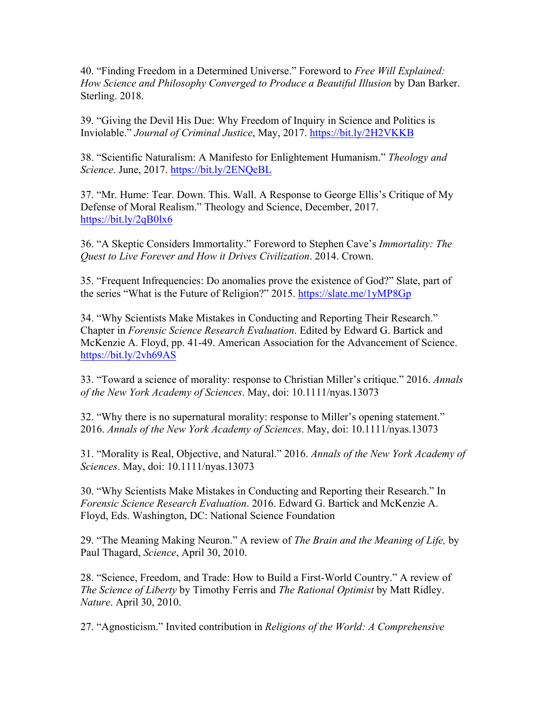40. "Finding Freedom in a Determined Universe." Foreword to *Free Will Explained: How Science and Philosophy Converged to Produce a Beautiful Illusion* by Dan Barker. Sterling. 2018.

39. "Giving the Devil His Due: Why Freedom of Inquiry in Science and Politics is Inviolable." *Journal of Criminal Justice*, May, 2017. https://bit.ly/2H2VKKB

38. "Scientific Naturalism: A Manifesto for Enlightement Humanism." *Theology and Science*. June, 2017. https://bit.ly/2ENQcBL

37. "Mr. Hume: Tear. Down. This. Wall. A Response to George Ellis's Critique of My Defense of Moral Realism." Theology and Science, December, 2017. https://bit.ly/2qB0lx6

36. "A Skeptic Considers Immortality." Foreword to Stephen Cave's *Immortality: The Quest to Live Forever and How it Drives Civilization*. 2014. Crown.

35. "Frequent Infrequencies: Do anomalies prove the existence of God?" Slate, part of the series "What is the Future of Religion?" 2015. https://slate.me/1yMP8Gp

34. "Why Scientists Make Mistakes in Conducting and Reporting Their Research." Chapter in *Forensic Science Research Evaluation*. Edited by Edward G. Bartick and McKenzie A. Floyd, pp. 41-49. American Association for the Advancement of Science. https://bit.ly/2vh69AS

33. "Toward a science of morality: response to Christian Miller's critique." 2016. *Annals of the New York Academy of Sciences*. May, doi: 10.1111/nyas.13073

32. "Why there is no supernatural morality: response to Miller's opening statement." 2016. *Annals of the New York Academy of Sciences*. May, doi: 10.1111/nyas.13073

31. "Morality is Real, Objective, and Natural." 2016. *Annals of the New York Academy of Sciences*. May, doi: 10.1111/nyas.13073

30. "Why Scientists Make Mistakes in Conducting and Reporting their Research." In *Forensic Science Research Evaluation*. 2016. Edward G. Bartick and McKenzie A. Floyd, Eds. Washington, DC: National Science Foundation

29. "The Meaning Making Neuron." A review of *The Brain and the Meaning of Life,* by Paul Thagard, *Science*, April 30, 2010.

28. "Science, Freedom, and Trade: How to Build a First-World Country." A review of *The Science of Liberty* by Timothy Ferris and *The Rational Optimist* by Matt Ridley. *Nature*. April 30, 2010.

27. "Agnosticism." Invited contribution in *Religions of the World: A Comprehensive*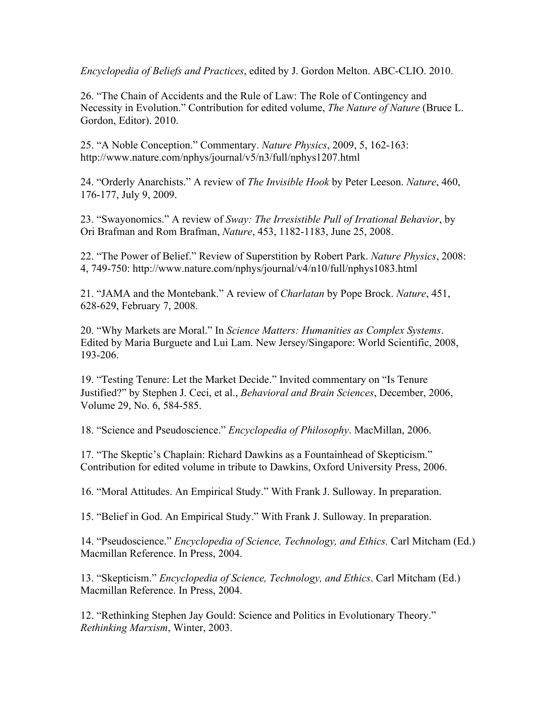*Encyclopedia of Beliefs and Practices*, edited by J. Gordon Melton. ABC-CLIO. 2010.

26. "The Chain of Accidents and the Rule of Law: The Role of Contingency and Necessity in Evolution." Contribution for edited volume, *The Nature of Nature* (Bruce L. Gordon, Editor). 2010.

25. "A Noble Conception." Commentary. *Nature Physics*, 2009, 5, 162-163: http://www.nature.com/nphys/journal/v5/n3/full/nphys1207.html

24. "Orderly Anarchists." A review of *The Invisible Hook* by Peter Leeson. *Nature*, 460, 176-177, July 9, 2009.

23. "Swayonomics." A review of *Sway: The Irresistible Pull of Irrational Behavior*, by Ori Brafman and Rom Brafman, *Nature*, 453, 1182-1183, June 25, 2008.

22. "The Power of Belief." Review of Superstition by Robert Park. *Nature Physics*, 2008: 4, 749-750: http://www.nature.com/nphys/journal/v4/n10/full/nphys1083.html

21. "JAMA and the Montebank." A review of *Charlatan* by Pope Brock. *Nature*, 451, 628-629, February 7, 2008.

20. "Why Markets are Moral." In *Science Matters: Humanities as Complex Systems*. Edited by Maria Burguete and Lui Lam. New Jersey/Singapore: World Scientific, 2008, 193-206.

19. "Testing Tenure: Let the Market Decide." Invited commentary on "Is Tenure Justified?" by Stephen J. Ceci, et al., *Behavioral and Brain Sciences*, December, 2006, Volume 29, No. 6, 584-585.

18. "Science and Pseudoscience." *Encyclopedia of Philosophy*. MacMillan, 2006.

17. "The Skeptic's Chaplain: Richard Dawkins as a Fountainhead of Skepticism." Contribution for edited volume in tribute to Dawkins, Oxford University Press, 2006.

16. "Moral Attitudes. An Empirical Study." With Frank J. Sulloway. In preparation.

15. "Belief in God. An Empirical Study." With Frank J. Sulloway. In preparation.

14. "Pseudoscience." *Encyclopedia of Science, Technology, and Ethics.* Carl Mitcham (Ed.) Macmillan Reference. In Press, 2004.

13. "Skepticism." *Encyclopedia of Science, Technology, and Ethics*. Carl Mitcham (Ed.) Macmillan Reference. In Press, 2004.

12. "Rethinking Stephen Jay Gould: Science and Politics in Evolutionary Theory." *Rethinking Marxism*, Winter, 2003.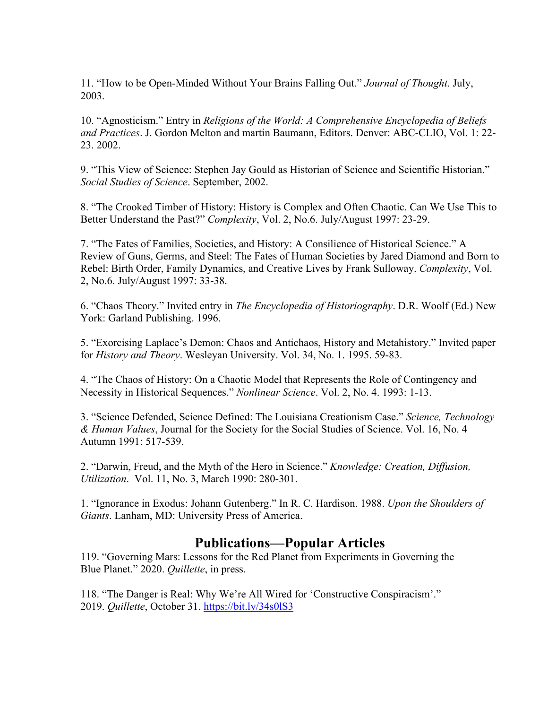11. "How to be Open-Minded Without Your Brains Falling Out." *Journal of Thought*. July, 2003.

10. "Agnosticism." Entry in *Religions of the World: A Comprehensive Encyclopedia of Beliefs and Practices*. J. Gordon Melton and martin Baumann, Editors. Denver: ABC-CLIO, Vol. 1: 22- 23. 2002.

9. "This View of Science: Stephen Jay Gould as Historian of Science and Scientific Historian." *Social Studies of Science*. September, 2002.

8. "The Crooked Timber of History: History is Complex and Often Chaotic. Can We Use This to Better Understand the Past?" *Complexity*, Vol. 2, No.6. July/August 1997: 23-29.

7. "The Fates of Families, Societies, and History: A Consilience of Historical Science." A Review of Guns, Germs, and Steel: The Fates of Human Societies by Jared Diamond and Born to Rebel: Birth Order, Family Dynamics, and Creative Lives by Frank Sulloway. *Complexity*, Vol. 2, No.6. July/August 1997: 33-38.

6. "Chaos Theory." Invited entry in *The Encyclopedia of Historiography*. D.R. Woolf (Ed.) New York: Garland Publishing. 1996.

5. "Exorcising Laplace's Demon: Chaos and Antichaos, History and Metahistory." Invited paper for *History and Theory*. Wesleyan University. Vol. 34, No. 1. 1995. 59-83.

4. "The Chaos of History: On a Chaotic Model that Represents the Role of Contingency and Necessity in Historical Sequences." *Nonlinear Science*. Vol. 2, No. 4. 1993: 1-13.

3. "Science Defended, Science Defined: The Louisiana Creationism Case." *Science, Technology & Human Values*, Journal for the Society for the Social Studies of Science. Vol. 16, No. 4 Autumn 1991: 517-539.

2. "Darwin, Freud, and the Myth of the Hero in Science." *Knowledge: Creation, Diffusion, Utilization*. Vol. 11, No. 3, March 1990: 280-301.

1. "Ignorance in Exodus: Johann Gutenberg." In R. C. Hardison. 1988. *Upon the Shoulders of Giants*. Lanham, MD: University Press of America.

# **Publications—Popular Articles**

119. "Governing Mars: Lessons for the Red Planet from Experiments in Governing the Blue Planet." 2020. *Quillette*, in press.

118. "The Danger is Real: Why We're All Wired for 'Constructive Conspiracism'." 2019. *Quillette*, October 31. https://bit.ly/34s0lS3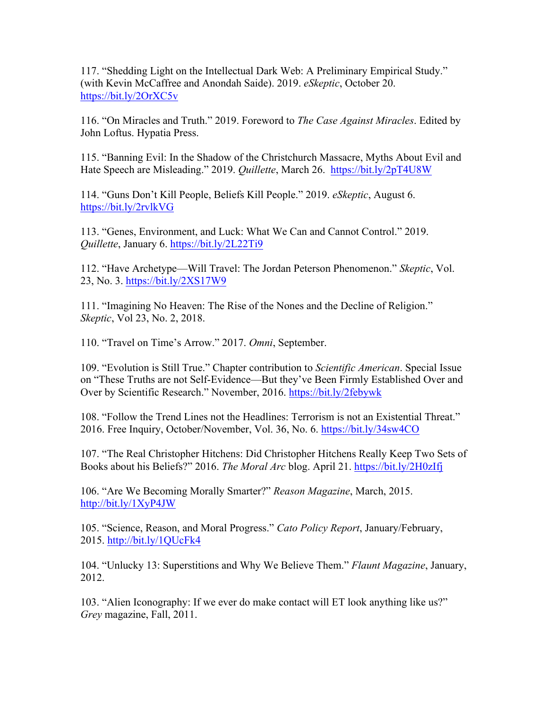117. "Shedding Light on the Intellectual Dark Web: A Preliminary Empirical Study." (with Kevin McCaffree and Anondah Saide). 2019. *eSkeptic*, October 20. https://bit.ly/2OrXC5v

116. "On Miracles and Truth." 2019. Foreword to *The Case Against Miracles*. Edited by John Loftus. Hypatia Press.

115. "Banning Evil: In the Shadow of the Christchurch Massacre, Myths About Evil and Hate Speech are Misleading." 2019. *Quillette*, March 26. https://bit.ly/2pT4U8W

114. "Guns Don't Kill People, Beliefs Kill People." 2019. *eSkeptic*, August 6. https://bit.ly/2rvlkVG

113. "Genes, Environment, and Luck: What We Can and Cannot Control." 2019. *Quillette*, January 6. https://bit.ly/2L22Ti9

112. "Have Archetype—Will Travel: The Jordan Peterson Phenomenon." *Skeptic*, Vol. 23, No. 3. https://bit.ly/2XS17W9

111. "Imagining No Heaven: The Rise of the Nones and the Decline of Religion." *Skeptic*, Vol 23, No. 2, 2018.

110. "Travel on Time's Arrow." 2017. *Omni*, September.

109. "Evolution is Still True." Chapter contribution to *Scientific American*. Special Issue on "These Truths are not Self-Evidence—But they've Been Firmly Established Over and Over by Scientific Research." November, 2016. https://bit.ly/2febywk

108. "Follow the Trend Lines not the Headlines: Terrorism is not an Existential Threat." 2016. Free Inquiry, October/November, Vol. 36, No. 6. https://bit.ly/34sw4CO

107. "The Real Christopher Hitchens: Did Christopher Hitchens Really Keep Two Sets of Books about his Beliefs?" 2016. *The Moral Arc* blog. April 21. https://bit.ly/2H0zIfj

106. "Are We Becoming Morally Smarter?" *Reason Magazine*, March, 2015. http://bit.ly/1XyP4JW

105. "Science, Reason, and Moral Progress." *Cato Policy Report*, January/February, 2015. http://bit.ly/1QUcFk4

104. "Unlucky 13: Superstitions and Why We Believe Them." *Flaunt Magazine*, January, 2012.

103. "Alien Iconography: If we ever do make contact will ET look anything like us?" *Grey* magazine, Fall, 2011.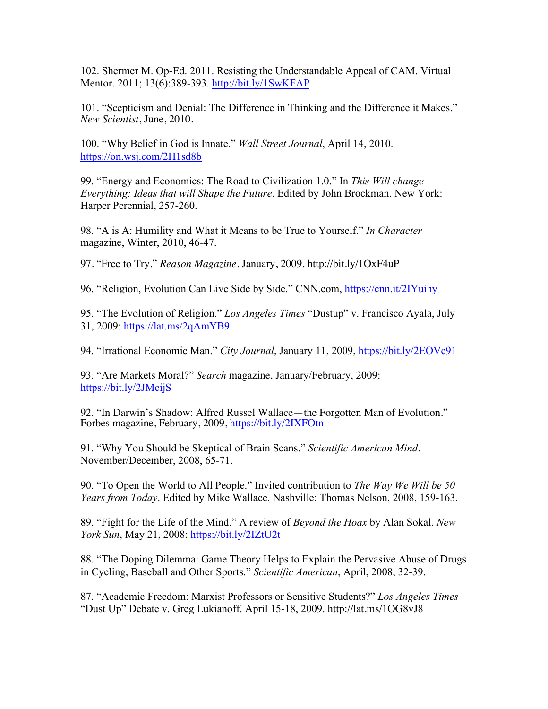102. Shermer M. Op-Ed. 2011. Resisting the Understandable Appeal of CAM. Virtual Mentor. 2011; 13(6):389-393. http://bit.ly/1SwKFAP

101. "Scepticism and Denial: The Difference in Thinking and the Difference it Makes." *New Scientist*, June, 2010.

100. "Why Belief in God is Innate." *Wall Street Journal*, April 14, 2010. https://on.wsj.com/2H1sd8b

99. "Energy and Economics: The Road to Civilization 1.0." In *This Will change Everything: Ideas that will Shape the Future*. Edited by John Brockman. New York: Harper Perennial, 257-260.

98. "A is A: Humility and What it Means to be True to Yourself." *In Character* magazine, Winter, 2010, 46-47.

97. "Free to Try." *Reason Magazine*, January, 2009. http://bit.ly/1OxF4uP

96. "Religion, Evolution Can Live Side by Side." CNN.com, https://cnn.it/2IYuihy

95. "The Evolution of Religion." *Los Angeles Times* "Dustup" v. Francisco Ayala, July 31, 2009: https://lat.ms/2qAmYB9

94. "Irrational Economic Man." *City Journal*, January 11, 2009, https://bit.ly/2EOVc91

93. "Are Markets Moral?" *Search* magazine, January/February, 2009: https://bit.ly/2JMeijS

92. "In Darwin's Shadow: Alfred Russel Wallace—the Forgotten Man of Evolution." Forbes magazine, February, 2009, https://bit.ly/2IXFOtn

91. "Why You Should be Skeptical of Brain Scans." *Scientific American Mind*. November/December, 2008, 65-71.

90. "To Open the World to All People." Invited contribution to *The Way We Will be 50 Years from Today*. Edited by Mike Wallace. Nashville: Thomas Nelson, 2008, 159-163.

89. "Fight for the Life of the Mind." A review of *Beyond the Hoax* by Alan Sokal. *New York Sun*, May 21, 2008: https://bit.ly/2IZtU2t

88. "The Doping Dilemma: Game Theory Helps to Explain the Pervasive Abuse of Drugs in Cycling, Baseball and Other Sports." *Scientific American*, April, 2008, 32-39.

87. "Academic Freedom: Marxist Professors or Sensitive Students?" *Los Angeles Times*  "Dust Up" Debate v. Greg Lukianoff. April 15-18, 2009. http://lat.ms/1OG8vJ8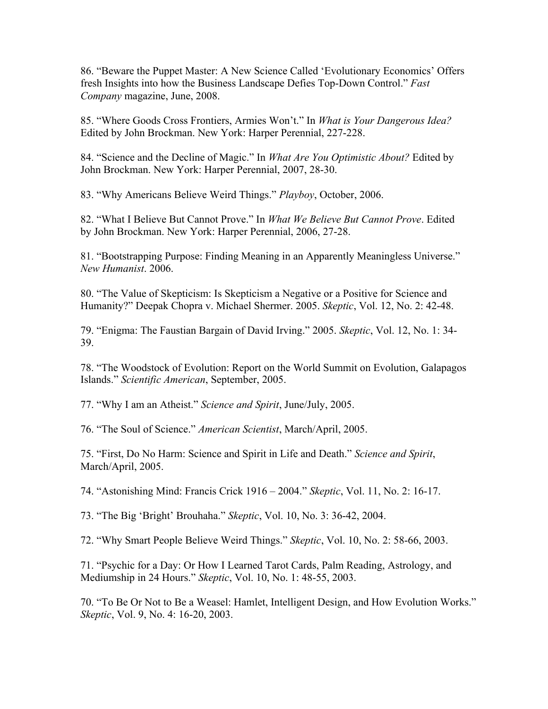86. "Beware the Puppet Master: A New Science Called 'Evolutionary Economics' Offers fresh Insights into how the Business Landscape Defies Top-Down Control." *Fast Company* magazine, June, 2008.

85. "Where Goods Cross Frontiers, Armies Won't." In *What is Your Dangerous Idea?* Edited by John Brockman. New York: Harper Perennial, 227-228.

84. "Science and the Decline of Magic." In *What Are You Optimistic About?* Edited by John Brockman. New York: Harper Perennial, 2007, 28-30.

83. "Why Americans Believe Weird Things." *Playboy*, October, 2006.

82. "What I Believe But Cannot Prove." In *What We Believe But Cannot Prove*. Edited by John Brockman. New York: Harper Perennial, 2006, 27-28.

81. "Bootstrapping Purpose: Finding Meaning in an Apparently Meaningless Universe." *New Humanist*. 2006.

80. "The Value of Skepticism: Is Skepticism a Negative or a Positive for Science and Humanity?" Deepak Chopra v. Michael Shermer. 2005. *Skeptic*, Vol. 12, No. 2: 42-48.

79. "Enigma: The Faustian Bargain of David Irving." 2005. *Skeptic*, Vol. 12, No. 1: 34- 39.

78. "The Woodstock of Evolution: Report on the World Summit on Evolution, Galapagos Islands." *Scientific American*, September, 2005.

77. "Why I am an Atheist." *Science and Spirit*, June/July, 2005.

76. "The Soul of Science." *American Scientist*, March/April, 2005.

75. "First, Do No Harm: Science and Spirit in Life and Death." *Science and Spirit*, March/April, 2005.

74. "Astonishing Mind: Francis Crick 1916 – 2004." *Skeptic*, Vol. 11, No. 2: 16-17.

73. "The Big 'Bright' Brouhaha." *Skeptic*, Vol. 10, No. 3: 36-42, 2004.

72. "Why Smart People Believe Weird Things." *Skeptic*, Vol. 10, No. 2: 58-66, 2003.

71. "Psychic for a Day: Or How I Learned Tarot Cards, Palm Reading, Astrology, and Mediumship in 24 Hours." *Skeptic*, Vol. 10, No. 1: 48-55, 2003.

70. "To Be Or Not to Be a Weasel: Hamlet, Intelligent Design, and How Evolution Works." *Skeptic*, Vol. 9, No. 4: 16-20, 2003.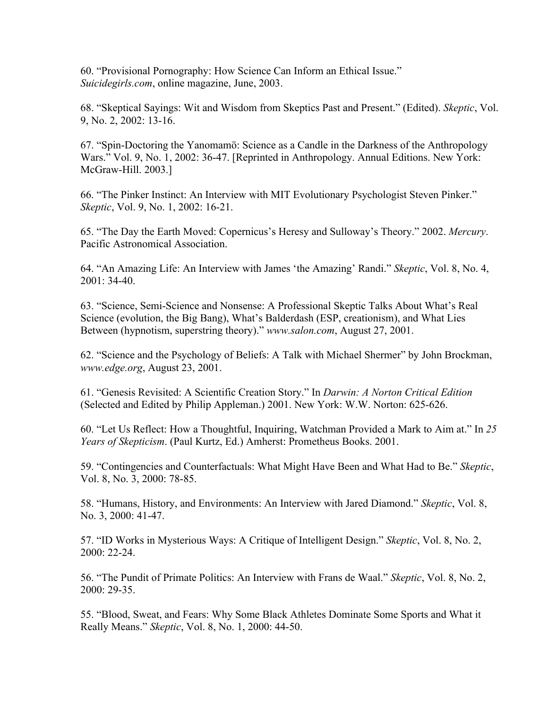60. "Provisional Pornography: How Science Can Inform an Ethical Issue." *Suicidegirls.com*, online magazine, June, 2003.

68. "Skeptical Sayings: Wit and Wisdom from Skeptics Past and Present." (Edited). *Skeptic*, Vol. 9, No. 2, 2002: 13-16.

67. "Spin-Doctoring the Yanomamö: Science as a Candle in the Darkness of the Anthropology Wars." Vol. 9, No. 1, 2002: 36-47. [Reprinted in Anthropology. Annual Editions. New York: McGraw-Hill. 2003.]

66. "The Pinker Instinct: An Interview with MIT Evolutionary Psychologist Steven Pinker." *Skeptic*, Vol. 9, No. 1, 2002: 16-21.

65. "The Day the Earth Moved: Copernicus's Heresy and Sulloway's Theory." 2002. *Mercury*. Pacific Astronomical Association.

64. "An Amazing Life: An Interview with James 'the Amazing' Randi." *Skeptic*, Vol. 8, No. 4, 2001: 34-40.

63. "Science, Semi-Science and Nonsense: A Professional Skeptic Talks About What's Real Science (evolution, the Big Bang), What's Balderdash (ESP, creationism), and What Lies Between (hypnotism, superstring theory)." *www.salon.com*, August 27, 2001.

62. "Science and the Psychology of Beliefs: A Talk with Michael Shermer" by John Brockman, *www.edge.org*, August 23, 2001.

61. "Genesis Revisited: A Scientific Creation Story." In *Darwin: A Norton Critical Edition* (Selected and Edited by Philip Appleman.) 2001. New York: W.W. Norton: 625-626.

60. "Let Us Reflect: How a Thoughtful, Inquiring, Watchman Provided a Mark to Aim at." In *25 Years of Skepticism*. (Paul Kurtz, Ed.) Amherst: Prometheus Books. 2001.

59. "Contingencies and Counterfactuals: What Might Have Been and What Had to Be." *Skeptic*, Vol. 8, No. 3, 2000: 78-85.

58. "Humans, History, and Environments: An Interview with Jared Diamond." *Skeptic*, Vol. 8, No. 3, 2000: 41-47.

57. "ID Works in Mysterious Ways: A Critique of Intelligent Design." *Skeptic*, Vol. 8, No. 2, 2000: 22-24.

56. "The Pundit of Primate Politics: An Interview with Frans de Waal." *Skeptic*, Vol. 8, No. 2, 2000: 29-35.

55. "Blood, Sweat, and Fears: Why Some Black Athletes Dominate Some Sports and What it Really Means." *Skeptic*, Vol. 8, No. 1, 2000: 44-50.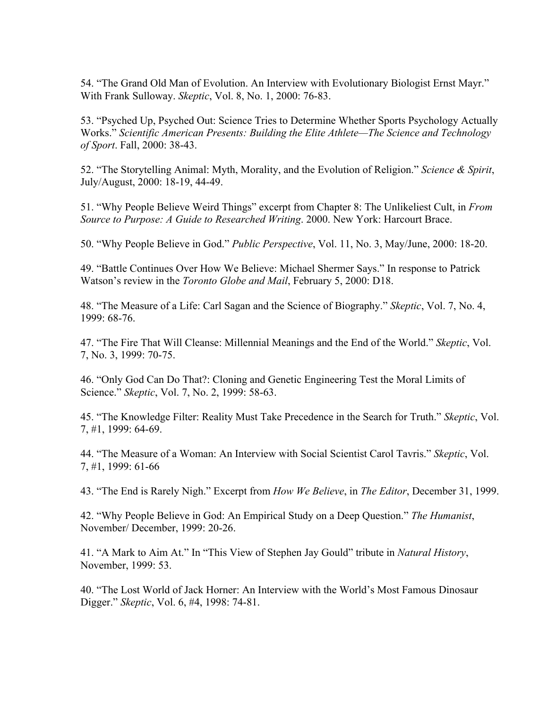54. "The Grand Old Man of Evolution. An Interview with Evolutionary Biologist Ernst Mayr." With Frank Sulloway. *Skeptic*, Vol. 8, No. 1, 2000: 76-83.

53. "Psyched Up, Psyched Out: Science Tries to Determine Whether Sports Psychology Actually Works." *Scientific American Presents: Building the Elite Athlete—The Science and Technology of Sport*. Fall, 2000: 38-43.

52. "The Storytelling Animal: Myth, Morality, and the Evolution of Religion." *Science & Spirit*, July/August, 2000: 18-19, 44-49.

51. "Why People Believe Weird Things" excerpt from Chapter 8: The Unlikeliest Cult, in *From Source to Purpose: A Guide to Researched Writing*. 2000. New York: Harcourt Brace.

50. "Why People Believe in God." *Public Perspective*, Vol. 11, No. 3, May/June, 2000: 18-20.

49. "Battle Continues Over How We Believe: Michael Shermer Says." In response to Patrick Watson's review in the *Toronto Globe and Mail*, February 5, 2000: D18.

48. "The Measure of a Life: Carl Sagan and the Science of Biography." *Skeptic*, Vol. 7, No. 4, 1999: 68-76.

47. "The Fire That Will Cleanse: Millennial Meanings and the End of the World." *Skeptic*, Vol. 7, No. 3, 1999: 70-75.

46. "Only God Can Do That?: Cloning and Genetic Engineering Test the Moral Limits of Science." *Skeptic*, Vol. 7, No. 2, 1999: 58-63.

45. "The Knowledge Filter: Reality Must Take Precedence in the Search for Truth." *Skeptic*, Vol. 7, #1, 1999: 64-69.

44. "The Measure of a Woman: An Interview with Social Scientist Carol Tavris." *Skeptic*, Vol. 7, #1, 1999: 61-66

43. "The End is Rarely Nigh." Excerpt from *How We Believe*, in *The Editor*, December 31, 1999.

42. "Why People Believe in God: An Empirical Study on a Deep Question." *The Humanist*, November/ December, 1999: 20-26.

41. "A Mark to Aim At." In "This View of Stephen Jay Gould" tribute in *Natural History*, November, 1999: 53.

40. "The Lost World of Jack Horner: An Interview with the World's Most Famous Dinosaur Digger." *Skeptic*, Vol. 6, #4, 1998: 74-81.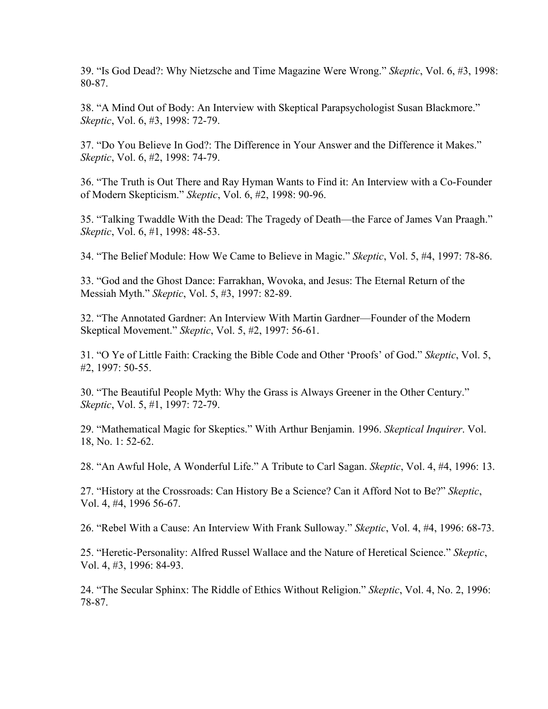39. "Is God Dead?: Why Nietzsche and Time Magazine Were Wrong." *Skeptic*, Vol. 6, #3, 1998: 80-87.

38. "A Mind Out of Body: An Interview with Skeptical Parapsychologist Susan Blackmore." *Skeptic*, Vol. 6, #3, 1998: 72-79.

37. "Do You Believe In God?: The Difference in Your Answer and the Difference it Makes." *Skeptic*, Vol. 6, #2, 1998: 74-79.

36. "The Truth is Out There and Ray Hyman Wants to Find it: An Interview with a Co-Founder of Modern Skepticism." *Skeptic*, Vol. 6, #2, 1998: 90-96.

35. "Talking Twaddle With the Dead: The Tragedy of Death—the Farce of James Van Praagh." *Skeptic*, Vol. 6, #1, 1998: 48-53.

34. "The Belief Module: How We Came to Believe in Magic." *Skeptic*, Vol. 5, #4, 1997: 78-86.

33. "God and the Ghost Dance: Farrakhan, Wovoka, and Jesus: The Eternal Return of the Messiah Myth." *Skeptic*, Vol. 5, #3, 1997: 82-89.

32. "The Annotated Gardner: An Interview With Martin Gardner—Founder of the Modern Skeptical Movement." *Skeptic*, Vol. 5, #2, 1997: 56-61.

31. "O Ye of Little Faith: Cracking the Bible Code and Other 'Proofs' of God." *Skeptic*, Vol. 5, #2, 1997: 50-55.

30. "The Beautiful People Myth: Why the Grass is Always Greener in the Other Century." *Skeptic*, Vol. 5, #1, 1997: 72-79.

29. "Mathematical Magic for Skeptics." With Arthur Benjamin. 1996. *Skeptical Inquirer*. Vol. 18, No. 1: 52-62.

28. "An Awful Hole, A Wonderful Life." A Tribute to Carl Sagan. *Skeptic*, Vol. 4, #4, 1996: 13.

27. "History at the Crossroads: Can History Be a Science? Can it Afford Not to Be?" *Skeptic*, Vol. 4, #4, 1996 56-67.

26. "Rebel With a Cause: An Interview With Frank Sulloway." *Skeptic*, Vol. 4, #4, 1996: 68-73.

25. "Heretic-Personality: Alfred Russel Wallace and the Nature of Heretical Science." *Skeptic*, Vol. 4, #3, 1996: 84-93.

24. "The Secular Sphinx: The Riddle of Ethics Without Religion." *Skeptic*, Vol. 4, No. 2, 1996: 78-87.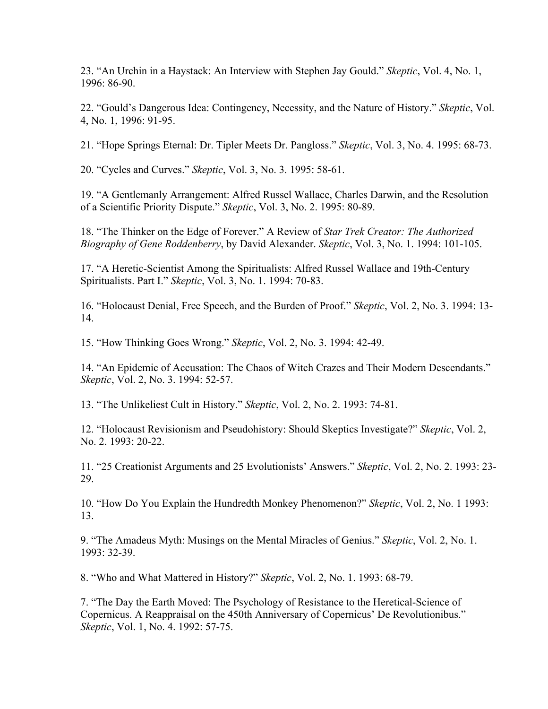23. "An Urchin in a Haystack: An Interview with Stephen Jay Gould." *Skeptic*, Vol. 4, No. 1, 1996: 86-90.

22. "Gould's Dangerous Idea: Contingency, Necessity, and the Nature of History." *Skeptic*, Vol. 4, No. 1, 1996: 91-95.

21. "Hope Springs Eternal: Dr. Tipler Meets Dr. Pangloss." *Skeptic*, Vol. 3, No. 4. 1995: 68-73.

20. "Cycles and Curves." *Skeptic*, Vol. 3, No. 3. 1995: 58-61.

19. "A Gentlemanly Arrangement: Alfred Russel Wallace, Charles Darwin, and the Resolution of a Scientific Priority Dispute." *Skeptic*, Vol. 3, No. 2. 1995: 80-89.

18. "The Thinker on the Edge of Forever." A Review of *Star Trek Creator: The Authorized Biography of Gene Roddenberry*, by David Alexander. *Skeptic*, Vol. 3, No. 1. 1994: 101-105.

17. "A Heretic-Scientist Among the Spiritualists: Alfred Russel Wallace and 19th-Century Spiritualists. Part I." *Skeptic*, Vol. 3, No. 1. 1994: 70-83.

16. "Holocaust Denial, Free Speech, and the Burden of Proof." *Skeptic*, Vol. 2, No. 3. 1994: 13- 14.

15. "How Thinking Goes Wrong." *Skeptic*, Vol. 2, No. 3. 1994: 42-49.

14. "An Epidemic of Accusation: The Chaos of Witch Crazes and Their Modern Descendants." *Skeptic*, Vol. 2, No. 3. 1994: 52-57.

13. "The Unlikeliest Cult in History." *Skeptic*, Vol. 2, No. 2. 1993: 74-81.

12. "Holocaust Revisionism and Pseudohistory: Should Skeptics Investigate?" *Skeptic*, Vol. 2, No. 2. 1993: 20-22.

11. "25 Creationist Arguments and 25 Evolutionists' Answers." *Skeptic*, Vol. 2, No. 2. 1993: 23- 29.

10. "How Do You Explain the Hundredth Monkey Phenomenon?" *Skeptic*, Vol. 2, No. 1 1993: 13.

9. "The Amadeus Myth: Musings on the Mental Miracles of Genius." *Skeptic*, Vol. 2, No. 1. 1993: 32-39.

8. "Who and What Mattered in History?" *Skeptic*, Vol. 2, No. 1. 1993: 68-79.

7. "The Day the Earth Moved: The Psychology of Resistance to the Heretical-Science of Copernicus. A Reappraisal on the 450th Anniversary of Copernicus' De Revolutionibus." *Skeptic*, Vol. 1, No. 4. 1992: 57-75.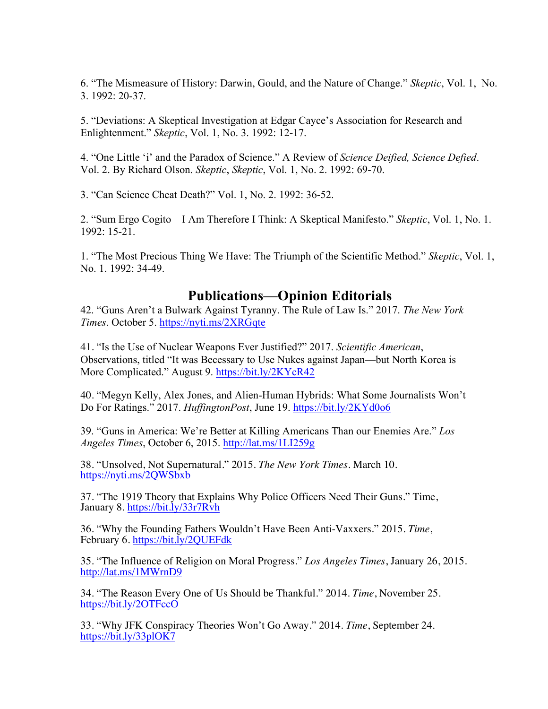6. "The Mismeasure of History: Darwin, Gould, and the Nature of Change." *Skeptic*, Vol. 1, No. 3. 1992: 20-37.

5. "Deviations: A Skeptical Investigation at Edgar Cayce's Association for Research and Enlightenment." *Skeptic*, Vol. 1, No. 3. 1992: 12-17.

4. "One Little 'i' and the Paradox of Science." A Review of *Science Deified, Science Defied*. Vol. 2. By Richard Olson. *Skeptic*, *Skeptic*, Vol. 1, No. 2. 1992: 69-70.

3. "Can Science Cheat Death?" Vol. 1, No. 2. 1992: 36-52.

2. "Sum Ergo Cogito—I Am Therefore I Think: A Skeptical Manifesto." *Skeptic*, Vol. 1, No. 1. 1992: 15-21.

1. "The Most Precious Thing We Have: The Triumph of the Scientific Method." *Skeptic*, Vol. 1, No. 1. 1992: 34-49.

# **Publications—Opinion Editorials**

42. "Guns Aren't a Bulwark Against Tyranny. The Rule of Law Is." 2017. *The New York Times*. October 5. https://nyti.ms/2XRGqte

41. "Is the Use of Nuclear Weapons Ever Justified?" 2017. *Scientific American*, Observations, titled "It was Becessary to Use Nukes against Japan—but North Korea is More Complicated." August 9. https://bit.ly/2KYcR42

40. "Megyn Kelly, Alex Jones, and Alien-Human Hybrids: What Some Journalists Won't Do For Ratings." 2017. *HuffingtonPost*, June 19. https://bit.ly/2KYd0o6

39. "Guns in America: We're Better at Killing Americans Than our Enemies Are." *Los Angeles Times*, October 6, 2015. http://lat.ms/1LI259g

38. "Unsolved, Not Supernatural." 2015. *The New York Times*. March 10. https://nyti.ms/2QWSbxb

37. "The 1919 Theory that Explains Why Police Officers Need Their Guns." Time, January 8. https://bit.ly/33r7Rvh

36. "Why the Founding Fathers Wouldn't Have Been Anti-Vaxxers." 2015. *Time*, February 6. https://bit.ly/2QUEFdk

35. "The Influence of Religion on Moral Progress." *Los Angeles Times*, January 26, 2015. http://lat.ms/1MWrnD9

34. "The Reason Every One of Us Should be Thankful." 2014. *Time*, November 25. https://bit.ly/2OTFccO

33. "Why JFK Conspiracy Theories Won't Go Away." 2014. *Time*, September 24. https://bit.ly/33plOK7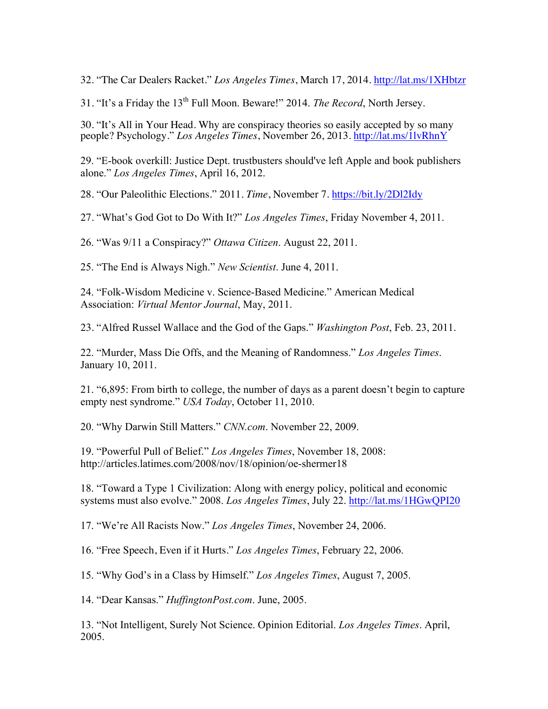32. "The Car Dealers Racket." *Los Angeles Times*, March 17, 2014. http://lat.ms/1XHbtzr

31. "It's a Friday the 13th Full Moon. Beware!" 2014. *The Record*, North Jersey.

30. "It's All in Your Head. Why are conspiracy theories so easily accepted by so many people? Psychology." *Los Angeles Times*, November 26, 2013. http://lat.ms/1lvRhnY

29. "E-book overkill: Justice Dept. trustbusters should've left Apple and book publishers alone." *Los Angeles Times*, April 16, 2012.

28. "Our Paleolithic Elections." 2011. *Time*, November 7. https://bit.ly/2Dl2Idy

27. "What's God Got to Do With It?" *Los Angeles Times*, Friday November 4, 2011.

26. "Was 9/11 a Conspiracy?" *Ottawa Citizen*. August 22, 2011.

25. "The End is Always Nigh." *New Scientist*. June 4, 2011.

24. "Folk-Wisdom Medicine v. Science-Based Medicine." American Medical Association: *Virtual Mentor Journal*, May, 2011.

23. "Alfred Russel Wallace and the God of the Gaps." *Washington Post*, Feb. 23, 2011.

22. "Murder, Mass Die Offs, and the Meaning of Randomness." *Los Angeles Times*. January 10, 2011.

21. "6,895: From birth to college, the number of days as a parent doesn't begin to capture empty nest syndrome." *USA Today*, October 11, 2010.

20. "Why Darwin Still Matters." *CNN.com*. November 22, 2009.

19. "Powerful Pull of Belief." *Los Angeles Times*, November 18, 2008: http://articles.latimes.com/2008/nov/18/opinion/oe-shermer18

18. "Toward a Type 1 Civilization: Along with energy policy, political and economic systems must also evolve." 2008. *Los Angeles Times*, July 22. http://lat.ms/1HGwQPI20

17. "We're All Racists Now." *Los Angeles Times*, November 24, 2006.

16. "Free Speech, Even if it Hurts." *Los Angeles Times*, February 22, 2006.

15. "Why God's in a Class by Himself." *Los Angeles Times*, August 7, 2005.

14. "Dear Kansas." *HuffingtonPost.com*. June, 2005.

13. "Not Intelligent, Surely Not Science. Opinion Editorial. *Los Angeles Times*. April, 2005.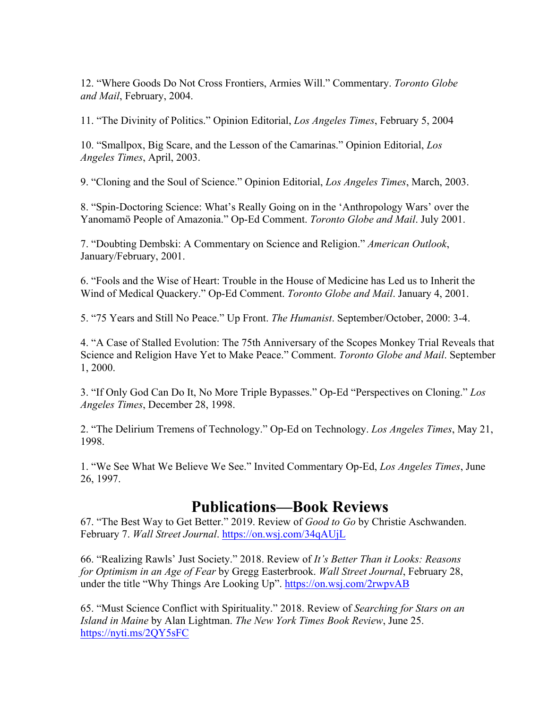12. "Where Goods Do Not Cross Frontiers, Armies Will." Commentary. *Toronto Globe and Mail*, February, 2004.

11. "The Divinity of Politics." Opinion Editorial, *Los Angeles Times*, February 5, 2004

10. "Smallpox, Big Scare, and the Lesson of the Camarinas." Opinion Editorial, *Los Angeles Times*, April, 2003.

9. "Cloning and the Soul of Science." Opinion Editorial, *Los Angeles Times*, March, 2003.

8. "Spin-Doctoring Science: What's Really Going on in the 'Anthropology Wars' over the Yanomamö People of Amazonia." Op-Ed Comment. *Toronto Globe and Mail*. July 2001.

7. "Doubting Dembski: A Commentary on Science and Religion." *American Outlook*, January/February, 2001.

6. "Fools and the Wise of Heart: Trouble in the House of Medicine has Led us to Inherit the Wind of Medical Quackery." Op-Ed Comment. *Toronto Globe and Mail*. January 4, 2001.

5. "75 Years and Still No Peace." Up Front. *The Humanist*. September/October, 2000: 3-4.

4. "A Case of Stalled Evolution: The 75th Anniversary of the Scopes Monkey Trial Reveals that Science and Religion Have Yet to Make Peace." Comment. *Toronto Globe and Mail*. September 1, 2000.

3. "If Only God Can Do It, No More Triple Bypasses." Op-Ed "Perspectives on Cloning." *Los Angeles Times*, December 28, 1998.

2. "The Delirium Tremens of Technology." Op-Ed on Technology. *Los Angeles Times*, May 21, 1998.

1. "We See What We Believe We See." Invited Commentary Op-Ed, *Los Angeles Times*, June 26, 1997.

# **Publications—Book Reviews**

67. "The Best Way to Get Better." 2019. Review of *Good to Go* by Christie Aschwanden. February 7. *Wall Street Journal*. https://on.wsj.com/34qAUjL

66. "Realizing Rawls' Just Society." 2018. Review of *It's Better Than it Looks: Reasons for Optimism in an Age of Fear* by Gregg Easterbrook. *Wall Street Journal*, February 28, under the title "Why Things Are Looking Up". https://on.wsj.com/2rwpvAB

65. "Must Science Conflict with Spirituality." 2018. Review of *Searching for Stars on an Island in Maine* by Alan Lightman. *The New York Times Book Review*, June 25. https://nyti.ms/2QY5sFC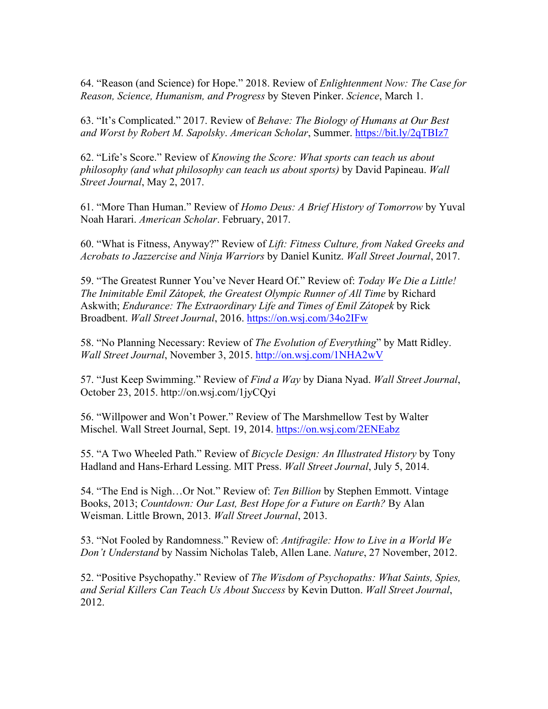64. "Reason (and Science) for Hope." 2018. Review of *Enlightenment Now: The Case for Reason, Science, Humanism, and Progress* by Steven Pinker. *Science*, March 1.

63. "It's Complicated." 2017. Review of *Behave: The Biology of Humans at Our Best and Worst by Robert M. Sapolsky*. *American Scholar*, Summer. https://bit.ly/2qTBIz7

62. "Life's Score." Review of *Knowing the Score: What sports can teach us about philosophy (and what philosophy can teach us about sports)* by David Papineau. *Wall Street Journal*, May 2, 2017.

61. "More Than Human." Review of *Homo Deus: A Brief History of Tomorrow* by Yuval Noah Harari. *American Scholar*. February, 2017.

60. "What is Fitness, Anyway?" Review of *Lift: Fitness Culture, from Naked Greeks and Acrobats to Jazzercise and Ninja Warriors* by Daniel Kunitz. *Wall Street Journal*, 2017.

59. "The Greatest Runner You've Never Heard Of." Review of: *Today We Die a Little! The Inimitable Emil Zátopek, the Greatest Olympic Runner of All Time* by Richard Askwith; *Endurance: The Extraordinary Life and Times of Emil Zátopek* by Rick Broadbent. *Wall Street Journal*, 2016. https://on.wsj.com/34o2IFw

58. "No Planning Necessary: Review of *The Evolution of Everything*" by Matt Ridley. *Wall Street Journal*, November 3, 2015. http://on.wsj.com/1NHA2wV

57. "Just Keep Swimming." Review of *Find a Way* by Diana Nyad. *Wall Street Journal*, October 23, 2015. http://on.wsj.com/1jyCQyi

56. "Willpower and Won't Power." Review of The Marshmellow Test by Walter Mischel. Wall Street Journal, Sept. 19, 2014. https://on.wsj.com/2ENEabz

55. "A Two Wheeled Path." Review of *Bicycle Design: An Illustrated History* by Tony Hadland and Hans-Erhard Lessing. MIT Press. *Wall Street Journal*, July 5, 2014.

54. "The End is Nigh…Or Not." Review of: *Ten Billion* by Stephen Emmott. Vintage Books, 2013; *Countdown: Our Last, Best Hope for a Future on Earth?* By Alan Weisman. Little Brown, 2013. *Wall Street Journal*, 2013.

53. "Not Fooled by Randomness." Review of: *Antifragile: How to Live in a World We Don't Understand* by Nassim Nicholas Taleb, Allen Lane. *Nature*, 27 November, 2012.

52. "Positive Psychopathy." Review of *The Wisdom of Psychopaths: What Saints, Spies, and Serial Killers Can Teach Us About Success* by Kevin Dutton. *Wall Street Journal*, 2012.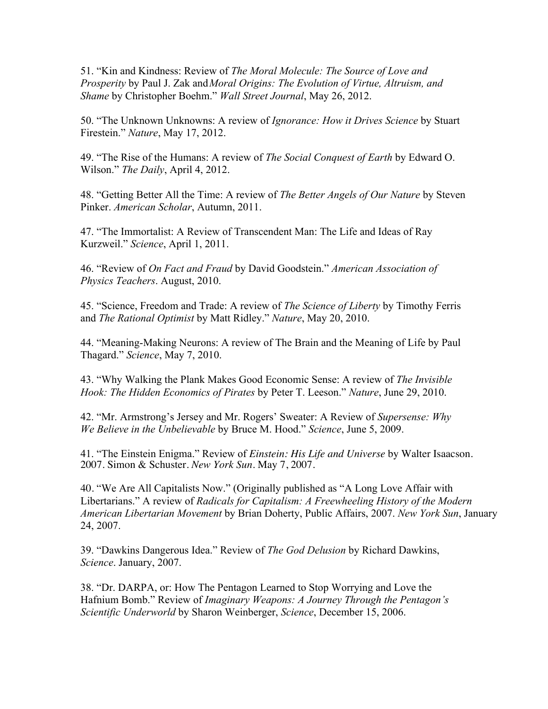51. "Kin and Kindness: Review of *The Moral Molecule: The Source of Love and Prosperity* by Paul J. Zak and*Moral Origins: The Evolution of Virtue, Altruism, and Shame* by Christopher Boehm." *Wall Street Journal*, May 26, 2012.

50. "The Unknown Unknowns: A review of *Ignorance: How it Drives Science* by Stuart Firestein." *Nature*, May 17, 2012.

49. "The Rise of the Humans: A review of *The Social Conquest of Earth* by Edward O. Wilson." *The Daily*, April 4, 2012.

48. "Getting Better All the Time: A review of *The Better Angels of Our Nature* by Steven Pinker. *American Scholar*, Autumn, 2011.

47. "The Immortalist: A Review of Transcendent Man: The Life and Ideas of Ray Kurzweil." *Science*, April 1, 2011.

46. "Review of *On Fact and Fraud* by David Goodstein." *American Association of Physics Teachers*. August, 2010.

45. "Science, Freedom and Trade: A review of *The Science of Liberty* by Timothy Ferris and *The Rational Optimist* by Matt Ridley." *Nature*, May 20, 2010.

44. "Meaning-Making Neurons: A review of The Brain and the Meaning of Life by Paul Thagard." *Science*, May 7, 2010.

43. "Why Walking the Plank Makes Good Economic Sense: A review of *The Invisible Hook: The Hidden Economics of Pirates* by Peter T. Leeson." *Nature*, June 29, 2010.

42. "Mr. Armstrong's Jersey and Mr. Rogers' Sweater: A Review of *Supersense: Why We Believe in the Unbelievable* by Bruce M. Hood." *Science*, June 5, 2009.

41. "The Einstein Enigma." Review of *Einstein: His Life and Universe* by Walter Isaacson. 2007. Simon & Schuster. *New York Sun*. May 7, 2007.

40. "We Are All Capitalists Now." (Originally published as "A Long Love Affair with Libertarians." A review of *Radicals for Capitalism: A Freewheeling History of the Modern American Libertarian Movement* by Brian Doherty, Public Affairs, 2007. *New York Sun*, January 24, 2007.

39. "Dawkins Dangerous Idea." Review of *The God Delusion* by Richard Dawkins, *Science*. January, 2007.

38. "Dr. DARPA, or: How The Pentagon Learned to Stop Worrying and Love the Hafnium Bomb." Review of *Imaginary Weapons: A Journey Through the Pentagon's Scientific Underworld* by Sharon Weinberger, *Science*, December 15, 2006.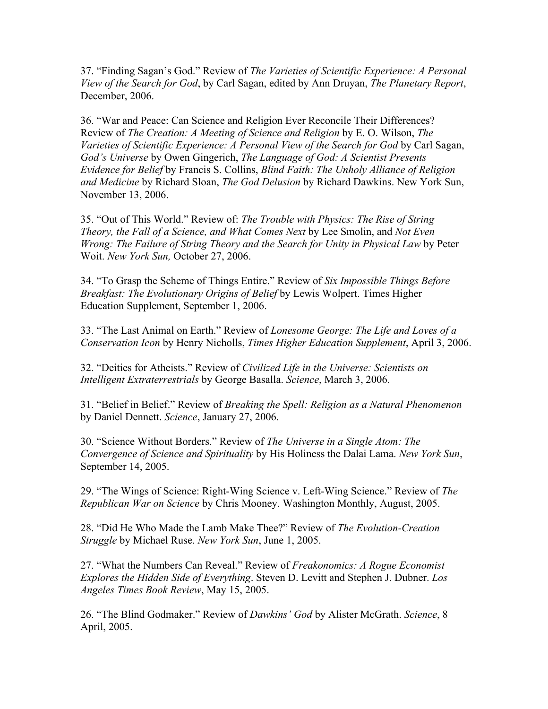37. "Finding Sagan's God." Review of *The Varieties of Scientific Experience: A Personal View of the Search for God*, by Carl Sagan, edited by Ann Druyan, *The Planetary Report*, December, 2006.

36. "War and Peace: Can Science and Religion Ever Reconcile Their Differences? Review of *The Creation: A Meeting of Science and Religion* by E. O. Wilson, *The Varieties of Scientific Experience: A Personal View of the Search for God* by Carl Sagan, *God's Universe* by Owen Gingerich, *The Language of God: A Scientist Presents Evidence for Belief* by Francis S. Collins, *Blind Faith: The Unholy Alliance of Religion and Medicine* by Richard Sloan, *The God Delusion* by Richard Dawkins. New York Sun, November 13, 2006.

35. "Out of This World." Review of: *The Trouble with Physics: The Rise of String Theory, the Fall of a Science, and What Comes Next* by Lee Smolin, and *Not Even Wrong: The Failure of String Theory and the Search for Unity in Physical Law* by Peter Woit. *New York Sun,* October 27, 2006.

34. "To Grasp the Scheme of Things Entire." Review of *Six Impossible Things Before Breakfast: The Evolutionary Origins of Belief* by Lewis Wolpert. Times Higher Education Supplement, September 1, 2006.

33. "The Last Animal on Earth." Review of *Lonesome George: The Life and Loves of a Conservation Icon* by Henry Nicholls, *Times Higher Education Supplement*, April 3, 2006.

32. "Deities for Atheists." Review of *Civilized Life in the Universe: Scientists on Intelligent Extraterrestrials* by George Basalla. *Science*, March 3, 2006.

31. "Belief in Belief." Review of *Breaking the Spell: Religion as a Natural Phenomenon* by Daniel Dennett. *Science*, January 27, 2006.

30. "Science Without Borders." Review of *The Universe in a Single Atom: The Convergence of Science and Spirituality* by His Holiness the Dalai Lama. *New York Sun*, September 14, 2005.

29. "The Wings of Science: Right-Wing Science v. Left-Wing Science." Review of *The Republican War on Science* by Chris Mooney. Washington Monthly, August, 2005.

28. "Did He Who Made the Lamb Make Thee?" Review of *The Evolution-Creation Struggle* by Michael Ruse. *New York Sun*, June 1, 2005.

27. "What the Numbers Can Reveal." Review of *Freakonomics: A Rogue Economist Explores the Hidden Side of Everything*. Steven D. Levitt and Stephen J. Dubner. *Los Angeles Times Book Review*, May 15, 2005.

26. "The Blind Godmaker." Review of *Dawkins' God* by Alister McGrath. *Science*, 8 April, 2005.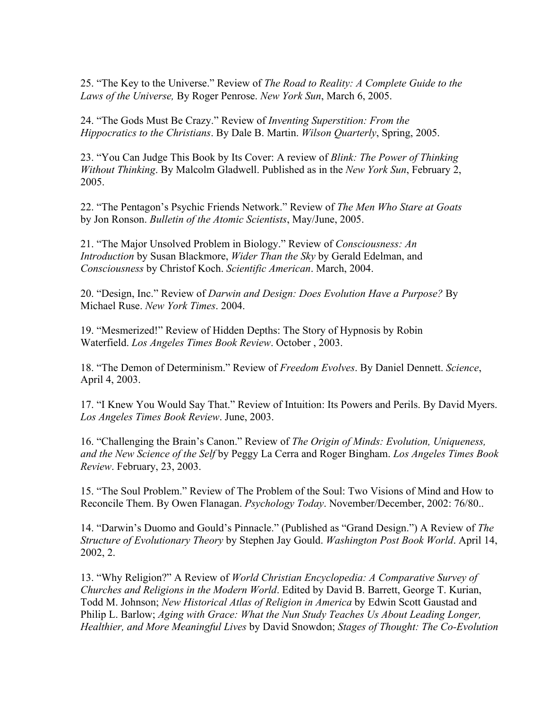25. "The Key to the Universe." Review of *The Road to Reality: A Complete Guide to the Laws of the Universe,* By Roger Penrose. *New York Sun*, March 6, 2005.

24. "The Gods Must Be Crazy." Review of *Inventing Superstition: From the Hippocratics to the Christians*. By Dale B. Martin. *Wilson Quarterly*, Spring, 2005.

23. "You Can Judge This Book by Its Cover: A review of *Blink: The Power of Thinking Without Thinking*. By Malcolm Gladwell. Published as in the *New York Sun*, February 2, 2005.

22. "The Pentagon's Psychic Friends Network." Review of *The Men Who Stare at Goats* by Jon Ronson. *Bulletin of the Atomic Scientists*, May/June, 2005.

21. "The Major Unsolved Problem in Biology." Review of *Consciousness: An Introduction* by Susan Blackmore, *Wider Than the Sky* by Gerald Edelman, and *Consciousness* by Christof Koch. *Scientific American*. March, 2004.

20. "Design, Inc." Review of *Darwin and Design: Does Evolution Have a Purpose?* By Michael Ruse. *New York Times*. 2004.

19. "Mesmerized!" Review of Hidden Depths: The Story of Hypnosis by Robin Waterfield. *Los Angeles Times Book Review*. October , 2003.

18. "The Demon of Determinism." Review of *Freedom Evolves*. By Daniel Dennett. *Science*, April 4, 2003.

17. "I Knew You Would Say That." Review of Intuition: Its Powers and Perils. By David Myers. *Los Angeles Times Book Review*. June, 2003.

16. "Challenging the Brain's Canon." Review of *The Origin of Minds: Evolution, Uniqueness, and the New Science of the Self* by Peggy La Cerra and Roger Bingham. *Los Angeles Times Book Review*. February, 23, 2003.

15. "The Soul Problem." Review of The Problem of the Soul: Two Visions of Mind and How to Reconcile Them. By Owen Flanagan. *Psychology Today*. November/December, 2002: 76/80..

14. "Darwin's Duomo and Gould's Pinnacle." (Published as "Grand Design.") A Review of *The Structure of Evolutionary Theory* by Stephen Jay Gould. *Washington Post Book World*. April 14, 2002, 2.

13. "Why Religion?" A Review of *World Christian Encyclopedia: A Comparative Survey of Churches and Religions in the Modern World*. Edited by David B. Barrett, George T. Kurian, Todd M. Johnson; *New Historical Atlas of Religion in America* by Edwin Scott Gaustad and Philip L. Barlow; *Aging with Grace: What the Nun Study Teaches Us About Leading Longer, Healthier, and More Meaningful Lives* by David Snowdon; *Stages of Thought: The Co-Evolution*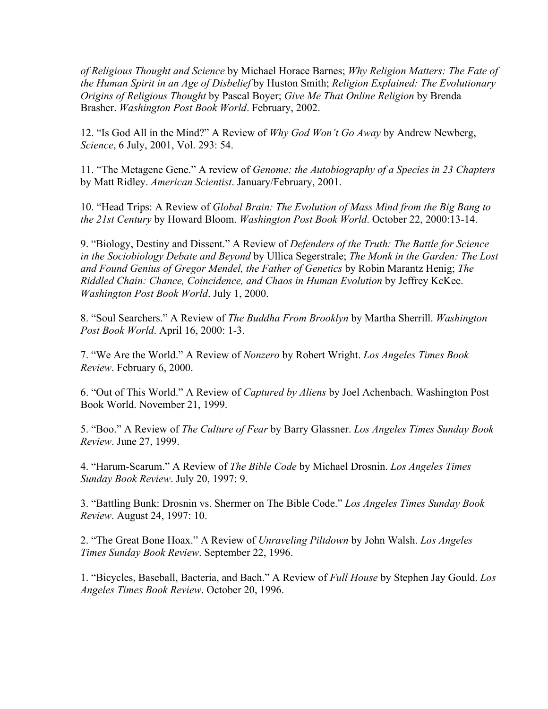*of Religious Thought and Science* by Michael Horace Barnes; *Why Religion Matters: The Fate of the Human Spirit in an Age of Disbelief* by Huston Smith; *Religion Explained: The Evolutionary Origins of Religious Thought* by Pascal Boyer; *Give Me That Online Religion* by Brenda Brasher. *Washington Post Book World*. February, 2002.

12. "Is God All in the Mind?" A Review of *Why God Won't Go Away* by Andrew Newberg, *Science*, 6 July, 2001, Vol. 293: 54.

11. "The Metagene Gene." A review of *Genome: the Autobiography of a Species in 23 Chapters* by Matt Ridley. *American Scientist*. January/February, 2001.

10. "Head Trips: A Review of *Global Brain: The Evolution of Mass Mind from the Big Bang to the 21st Century* by Howard Bloom. *Washington Post Book World*. October 22, 2000:13-14.

9. "Biology, Destiny and Dissent." A Review of *Defenders of the Truth: The Battle for Science in the Sociobiology Debate and Beyond* by Ullica Segerstrale; *The Monk in the Garden: The Lost and Found Genius of Gregor Mendel, the Father of Genetics* by Robin Marantz Henig; *The Riddled Chain: Chance, Coincidence, and Chaos in Human Evolution* by Jeffrey KcKee. *Washington Post Book World*. July 1, 2000.

8. "Soul Searchers." A Review of *The Buddha From Brooklyn* by Martha Sherrill. *Washington Post Book World*. April 16, 2000: 1-3.

7. "We Are the World." A Review of *Nonzero* by Robert Wright. *Los Angeles Times Book Review*. February 6, 2000.

6. "Out of This World." A Review of *Captured by Aliens* by Joel Achenbach. Washington Post Book World. November 21, 1999.

5. "Boo." A Review of *The Culture of Fear* by Barry Glassner. *Los Angeles Times Sunday Book Review*. June 27, 1999.

4. "Harum-Scarum." A Review of *The Bible Code* by Michael Drosnin. *Los Angeles Times Sunday Book Review*. July 20, 1997: 9.

3. "Battling Bunk: Drosnin vs. Shermer on The Bible Code." *Los Angeles Times Sunday Book Review*. August 24, 1997: 10.

2. "The Great Bone Hoax." A Review of *Unraveling Piltdown* by John Walsh. *Los Angeles Times Sunday Book Review*. September 22, 1996.

1. "Bicycles, Baseball, Bacteria, and Bach." A Review of *Full House* by Stephen Jay Gould. *Los Angeles Times Book Review*. October 20, 1996.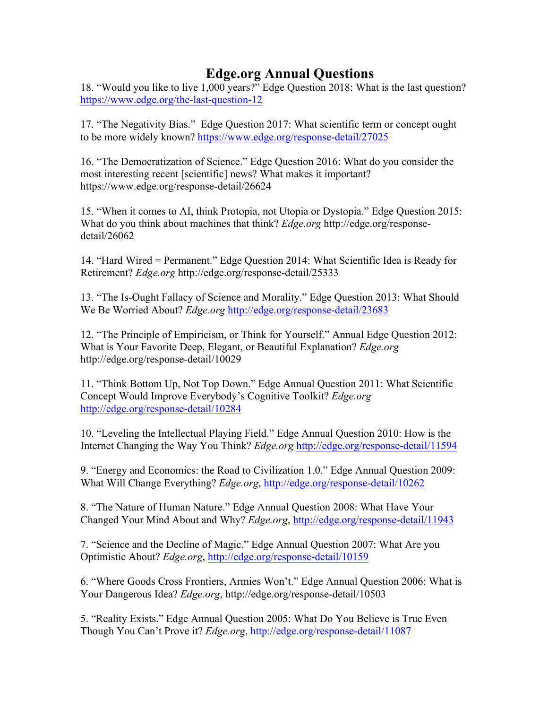# **Edge.org Annual Questions**

18. "Would you like to live 1,000 years?" Edge Question 2018: What is the last question? https://www.edge.org/the-last-question-12

17. "The Negativity Bias." Edge Question 2017: What scientific term or concept ought to be more widely known? https://www.edge.org/response-detail/27025

16. "The Democratization of Science." Edge Question 2016: What do you consider the most interesting recent [scientific] news? What makes it important? https://www.edge.org/response-detail/26624

15. "When it comes to AI, think Protopia, not Utopia or Dystopia." Edge Question 2015: What do you think about machines that think? *Edge.org* http://edge.org/responsedetail/26062

14. "Hard Wired = Permanent." Edge Question 2014: What Scientific Idea is Ready for Retirement? *Edge.org* http://edge.org/response-detail/25333

13. "The Is-Ought Fallacy of Science and Morality." Edge Question 2013: What Should We Be Worried About? *Edge.org* http://edge.org/response-detail/23683

12. "The Principle of Empiricism, or Think for Yourself." Annual Edge Question 2012: What is Your Favorite Deep, Elegant, or Beautiful Explanation? *Edge.org* http://edge.org/response-detail/10029

11. "Think Bottom Up, Not Top Down." Edge Annual Question 2011: What Scientific Concept Would Improve Everybody's Cognitive Toolkit? *Edge.org* http://edge.org/response-detail/10284

10. "Leveling the Intellectual Playing Field." Edge Annual Question 2010: How is the Internet Changing the Way You Think? *Edge.org* http://edge.org/response-detail/11594

9. "Energy and Economics: the Road to Civilization 1.0." Edge Annual Question 2009: What Will Change Everything? *Edge.org*, http://edge.org/response-detail/10262

8. "The Nature of Human Nature." Edge Annual Question 2008: What Have Your Changed Your Mind About and Why? *Edge.org*, http://edge.org/response-detail/11943

7. "Science and the Decline of Magic." Edge Annual Question 2007: What Are you Optimistic About? *Edge.org*, http://edge.org/response-detail/10159

6. "Where Goods Cross Frontiers, Armies Won't." Edge Annual Question 2006: What is Your Dangerous Idea? *Edge.org*, http://edge.org/response-detail/10503

5. "Reality Exists." Edge Annual Question 2005: What Do You Believe is True Even Though You Can't Prove it? *Edge.org*, http://edge.org/response-detail/11087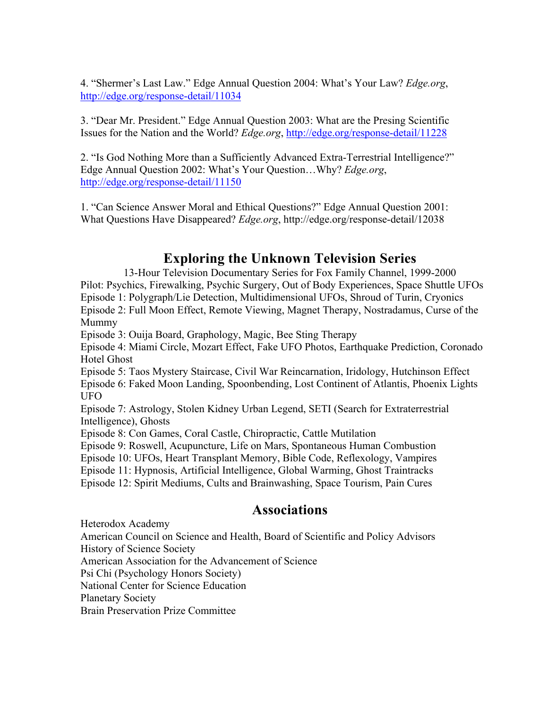4. "Shermer's Last Law." Edge Annual Question 2004: What's Your Law? *Edge.org*, http://edge.org/response-detail/11034

3. "Dear Mr. President." Edge Annual Question 2003: What are the Presing Scientific Issues for the Nation and the World? *Edge.org*, http://edge.org/response-detail/11228

2. "Is God Nothing More than a Sufficiently Advanced Extra-Terrestrial Intelligence?" Edge Annual Question 2002: What's Your Question…Why? *Edge.org*, http://edge.org/response-detail/11150

1. "Can Science Answer Moral and Ethical Questions?" Edge Annual Question 2001: What Questions Have Disappeared? *Edge.org*, http://edge.org/response-detail/12038

# **Exploring the Unknown Television Series**

13-Hour Television Documentary Series for Fox Family Channel, 1999-2000 Pilot: Psychics, Firewalking, Psychic Surgery, Out of Body Experiences, Space Shuttle UFOs Episode 1: Polygraph/Lie Detection, Multidimensional UFOs, Shroud of Turin, Cryonics Episode 2: Full Moon Effect, Remote Viewing, Magnet Therapy, Nostradamus, Curse of the Mummy

Episode 3: Ouija Board, Graphology, Magic, Bee Sting Therapy

Episode 4: Miami Circle, Mozart Effect, Fake UFO Photos, Earthquake Prediction, Coronado Hotel Ghost

Episode 5: Taos Mystery Staircase, Civil War Reincarnation, Iridology, Hutchinson Effect Episode 6: Faked Moon Landing, Spoonbending, Lost Continent of Atlantis, Phoenix Lights UFO

Episode 7: Astrology, Stolen Kidney Urban Legend, SETI (Search for Extraterrestrial Intelligence), Ghosts

Episode 8: Con Games, Coral Castle, Chiropractic, Cattle Mutilation

Episode 9: Roswell, Acupuncture, Life on Mars, Spontaneous Human Combustion

Episode 10: UFOs, Heart Transplant Memory, Bible Code, Reflexology, Vampires

Episode 11: Hypnosis, Artificial Intelligence, Global Warming, Ghost Traintracks

Episode 12: Spirit Mediums, Cults and Brainwashing, Space Tourism, Pain Cures

# **Associations**

Heterodox Academy

American Council on Science and Health, Board of Scientific and Policy Advisors History of Science Society

American Association for the Advancement of Science

Psi Chi (Psychology Honors Society)

National Center for Science Education

Planetary Society

Brain Preservation Prize Committee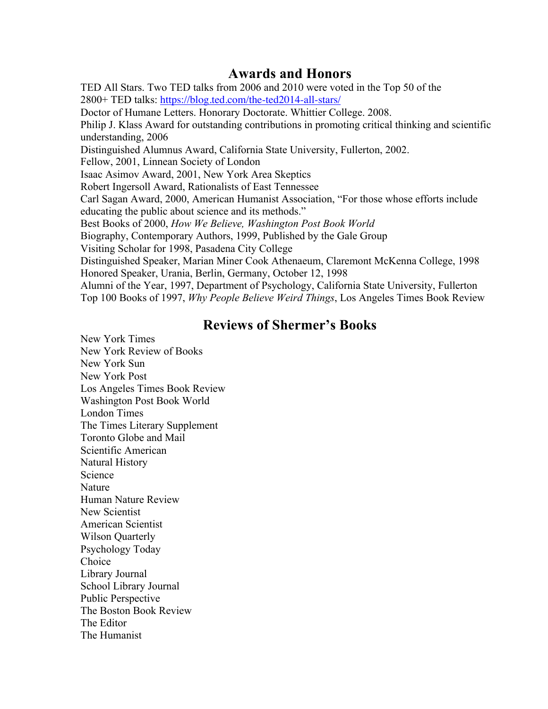# **Awards and Honors**

TED All Stars. Two TED talks from 2006 and 2010 were voted in the Top 50 of the 2800+ TED talks: https://blog.ted.com/the-ted2014-all-stars/ Doctor of Humane Letters. Honorary Doctorate. Whittier College. 2008. Philip J. Klass Award for outstanding contributions in promoting critical thinking and scientific understanding, 2006 Distinguished Alumnus Award, California State University, Fullerton, 2002. Fellow, 2001, Linnean Society of London Isaac Asimov Award, 2001, New York Area Skeptics Robert Ingersoll Award, Rationalists of East Tennessee Carl Sagan Award, 2000, American Humanist Association, "For those whose efforts include educating the public about science and its methods." Best Books of 2000, *How We Believe, Washington Post Book World* Biography, Contemporary Authors, 1999, Published by the Gale Group Visiting Scholar for 1998, Pasadena City College Distinguished Speaker, Marian Miner Cook Athenaeum, Claremont McKenna College, 1998 Honored Speaker, Urania, Berlin, Germany, October 12, 1998 Alumni of the Year, 1997, Department of Psychology, California State University, Fullerton Top 100 Books of 1997, *Why People Believe Weird Things*, Los Angeles Times Book Review

# **Reviews of Shermer's Books**

New York Times New York Review of Books New York Sun New York Post Los Angeles Times Book Review Washington Post Book World London Times The Times Literary Supplement Toronto Globe and Mail Scientific American Natural History Science **Nature** Human Nature Review New Scientist American Scientist Wilson Quarterly Psychology Today Choice Library Journal School Library Journal Public Perspective The Boston Book Review The Editor The Humanist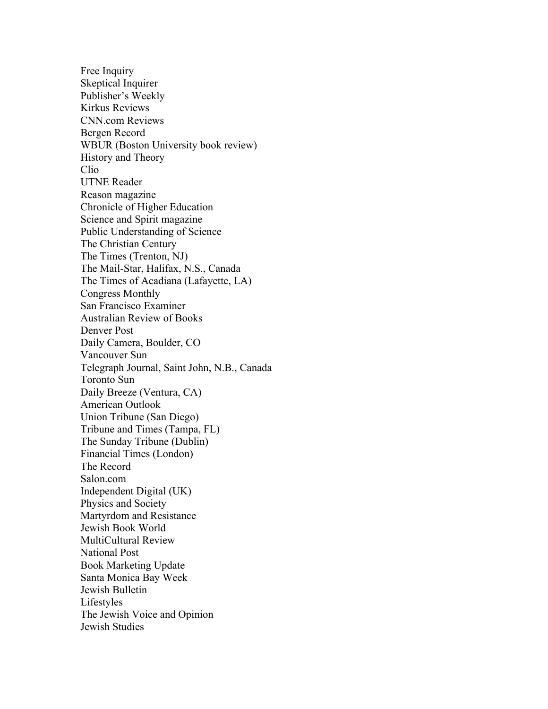Free Inquiry Skeptical Inquirer Publisher's Weekly Kirkus Reviews CNN.com Reviews Bergen Record WBUR (Boston University book review) History and Theory Clio UTNE Reader Reason magazine Chronicle of Higher Education Science and Spirit magazine Public Understanding of Science The Christian Century The Times (Trenton, NJ) The Mail-Star, Halifax, N.S., Canada The Times of Acadiana (Lafayette, LA) Congress Monthly San Francisco Examiner Australian Review of Books Denver Post Daily Camera, Boulder, CO Vancouver Sun Telegraph Journal, Saint John, N.B., Canada Toronto Sun Daily Breeze (Ventura, CA) American Outlook Union Tribune (San Diego) Tribune and Times (Tampa, FL) The Sunday Tribune (Dublin) Financial Times (London) The Record Salon.com Independent Digital (UK) Physics and Society Martyrdom and Resistance Jewish Book World MultiCultural Review National Post Book Marketing Update Santa Monica Bay Week Jewish Bulletin Lifestyles The Jewish Voice and Opinion Jewish Studies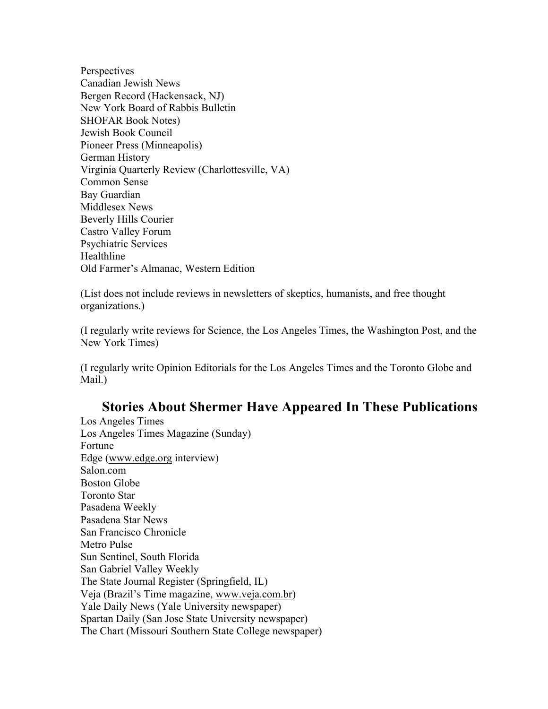**Perspectives** Canadian Jewish News Bergen Record (Hackensack, NJ) New York Board of Rabbis Bulletin SHOFAR Book Notes) Jewish Book Council Pioneer Press (Minneapolis) German History Virginia Quarterly Review (Charlottesville, VA) Common Sense Bay Guardian Middlesex News Beverly Hills Courier Castro Valley Forum Psychiatric Services Healthline Old Farmer's Almanac, Western Edition

(List does not include reviews in newsletters of skeptics, humanists, and free thought organizations.)

(I regularly write reviews for Science, the Los Angeles Times, the Washington Post, and the New York Times)

(I regularly write Opinion Editorials for the Los Angeles Times and the Toronto Globe and Mail.)

# **Stories About Shermer Have Appeared In These Publications**

Los Angeles Times Los Angeles Times Magazine (Sunday) Fortune Edge (www.edge.org interview) Salon com Boston Globe Toronto Star Pasadena Weekly Pasadena Star News San Francisco Chronicle Metro Pulse Sun Sentinel, South Florida San Gabriel Valley Weekly The State Journal Register (Springfield, IL) Veja (Brazil's Time magazine, www.veja.com.br) Yale Daily News (Yale University newspaper) Spartan Daily (San Jose State University newspaper) The Chart (Missouri Southern State College newspaper)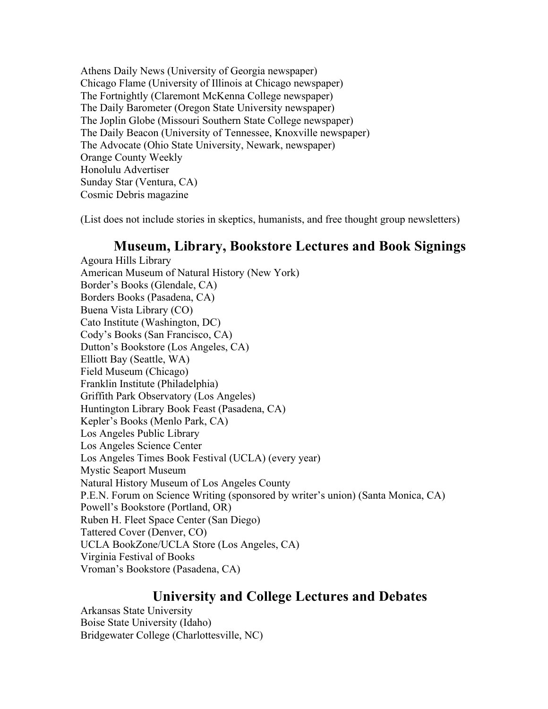Athens Daily News (University of Georgia newspaper) Chicago Flame (University of Illinois at Chicago newspaper) The Fortnightly (Claremont McKenna College newspaper) The Daily Barometer (Oregon State University newspaper) The Joplin Globe (Missouri Southern State College newspaper) The Daily Beacon (University of Tennessee, Knoxville newspaper) The Advocate (Ohio State University, Newark, newspaper) Orange County Weekly Honolulu Advertiser Sunday Star (Ventura, CA) Cosmic Debris magazine

(List does not include stories in skeptics, humanists, and free thought group newsletters)

### **Museum, Library, Bookstore Lectures and Book Signings**

Agoura Hills Library American Museum of Natural History (New York) Border's Books (Glendale, CA) Borders Books (Pasadena, CA) Buena Vista Library (CO) Cato Institute (Washington, DC) Cody's Books (San Francisco, CA) Dutton's Bookstore (Los Angeles, CA) Elliott Bay (Seattle, WA) Field Museum (Chicago) Franklin Institute (Philadelphia) Griffith Park Observatory (Los Angeles) Huntington Library Book Feast (Pasadena, CA) Kepler's Books (Menlo Park, CA) Los Angeles Public Library Los Angeles Science Center Los Angeles Times Book Festival (UCLA) (every year) Mystic Seaport Museum Natural History Museum of Los Angeles County P.E.N. Forum on Science Writing (sponsored by writer's union) (Santa Monica, CA) Powell's Bookstore (Portland, OR) Ruben H. Fleet Space Center (San Diego) Tattered Cover (Denver, CO) UCLA BookZone/UCLA Store (Los Angeles, CA) Virginia Festival of Books Vroman's Bookstore (Pasadena, CA)

# **University and College Lectures and Debates**

Arkansas State University Boise State University (Idaho) Bridgewater College (Charlottesville, NC)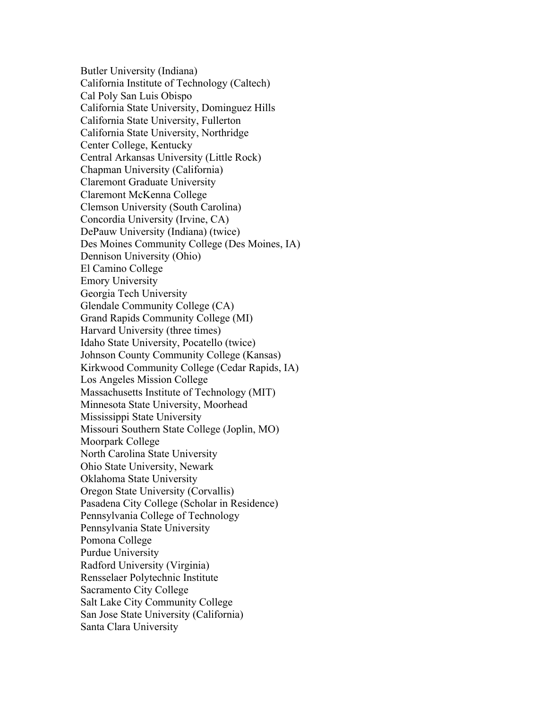Butler University (Indiana) California Institute of Technology (Caltech) Cal Poly San Luis Obispo California State University, Dominguez Hills California State University, Fullerton California State University, Northridge Center College, Kentucky Central Arkansas University (Little Rock) Chapman University (California) Claremont Graduate University Claremont McKenna College Clemson University (South Carolina) Concordia University (Irvine, CA) DePauw University (Indiana) (twice) Des Moines Community College (Des Moines, IA) Dennison University (Ohio) El Camino College Emory University Georgia Tech University Glendale Community College (CA) Grand Rapids Community College (MI) Harvard University (three times) Idaho State University, Pocatello (twice) Johnson County Community College (Kansas) Kirkwood Community College (Cedar Rapids, IA) Los Angeles Mission College Massachusetts Institute of Technology (MIT) Minnesota State University, Moorhead Mississippi State University Missouri Southern State College (Joplin, MO) Moorpark College North Carolina State University Ohio State University, Newark Oklahoma State University Oregon State University (Corvallis) Pasadena City College (Scholar in Residence) Pennsylvania College of Technology Pennsylvania State University Pomona College Purdue University Radford University (Virginia) Rensselaer Polytechnic Institute Sacramento City College Salt Lake City Community College San Jose State University (California) Santa Clara University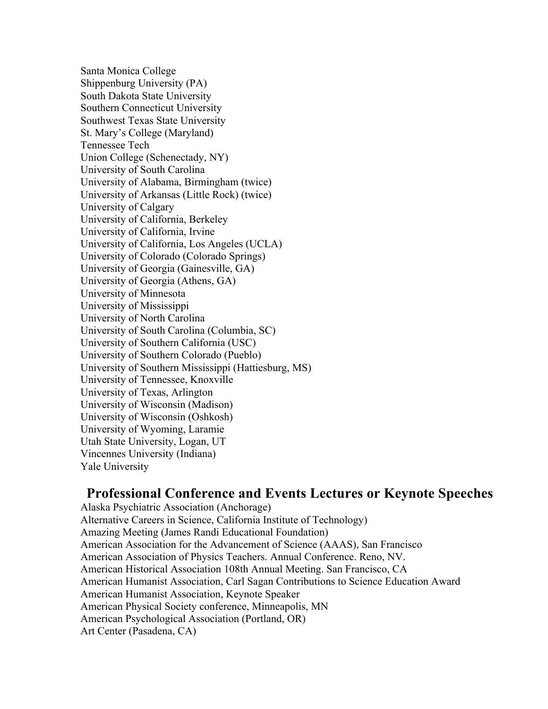Santa Monica College Shippenburg University (PA) South Dakota State University Southern Connecticut University Southwest Texas State University St. Mary's College (Maryland) Tennessee Tech Union College (Schenectady, NY) University of South Carolina University of Alabama, Birmingham (twice) University of Arkansas (Little Rock) (twice) University of Calgary University of California, Berkeley University of California, Irvine University of California, Los Angeles (UCLA) University of Colorado (Colorado Springs) University of Georgia (Gainesville, GA) University of Georgia (Athens, GA) University of Minnesota University of Mississippi University of North Carolina University of South Carolina (Columbia, SC) University of Southern California (USC) University of Southern Colorado (Pueblo) University of Southern Mississippi (Hattiesburg, MS) University of Tennessee, Knoxville University of Texas, Arlington University of Wisconsin (Madison) University of Wisconsin (Oshkosh) University of Wyoming, Laramie Utah State University, Logan, UT Vincennes University (Indiana) Yale University

### **Professional Conference and Events Lectures or Keynote Speeches**

Alaska Psychiatric Association (Anchorage) Alternative Careers in Science, California Institute of Technology) Amazing Meeting (James Randi Educational Foundation) American Association for the Advancement of Science (AAAS), San Francisco American Association of Physics Teachers. Annual Conference. Reno, NV. American Historical Association 108th Annual Meeting. San Francisco, CA American Humanist Association, Carl Sagan Contributions to Science Education Award American Humanist Association, Keynote Speaker American Physical Society conference, Minneapolis, MN American Psychological Association (Portland, OR) Art Center (Pasadena, CA)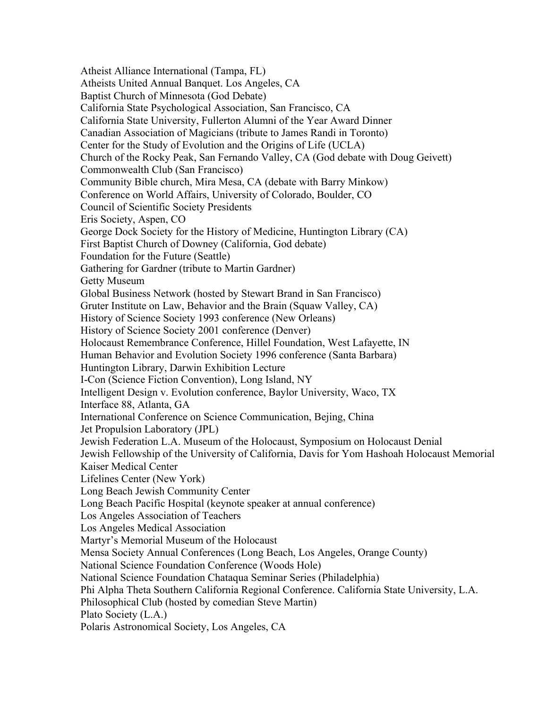Atheist Alliance International (Tampa, FL) Atheists United Annual Banquet. Los Angeles, CA Baptist Church of Minnesota (God Debate) California State Psychological Association, San Francisco, CA California State University, Fullerton Alumni of the Year Award Dinner Canadian Association of Magicians (tribute to James Randi in Toronto) Center for the Study of Evolution and the Origins of Life (UCLA) Church of the Rocky Peak, San Fernando Valley, CA (God debate with Doug Geivett) Commonwealth Club (San Francisco) Community Bible church, Mira Mesa, CA (debate with Barry Minkow) Conference on World Affairs, University of Colorado, Boulder, CO Council of Scientific Society Presidents Eris Society, Aspen, CO George Dock Society for the History of Medicine, Huntington Library (CA) First Baptist Church of Downey (California, God debate) Foundation for the Future (Seattle) Gathering for Gardner (tribute to Martin Gardner) Getty Museum Global Business Network (hosted by Stewart Brand in San Francisco) Gruter Institute on Law, Behavior and the Brain (Squaw Valley, CA) History of Science Society 1993 conference (New Orleans) History of Science Society 2001 conference (Denver) Holocaust Remembrance Conference, Hillel Foundation, West Lafayette, IN Human Behavior and Evolution Society 1996 conference (Santa Barbara) Huntington Library, Darwin Exhibition Lecture I-Con (Science Fiction Convention), Long Island, NY Intelligent Design v. Evolution conference, Baylor University, Waco, TX Interface 88, Atlanta, GA International Conference on Science Communication, Bejing, China Jet Propulsion Laboratory (JPL) Jewish Federation L.A. Museum of the Holocaust, Symposium on Holocaust Denial Jewish Fellowship of the University of California, Davis for Yom Hashoah Holocaust Memorial Kaiser Medical Center Lifelines Center (New York) Long Beach Jewish Community Center Long Beach Pacific Hospital (keynote speaker at annual conference) Los Angeles Association of Teachers Los Angeles Medical Association Martyr's Memorial Museum of the Holocaust Mensa Society Annual Conferences (Long Beach, Los Angeles, Orange County) National Science Foundation Conference (Woods Hole) National Science Foundation Chataqua Seminar Series (Philadelphia) Phi Alpha Theta Southern California Regional Conference. California State University, L.A. Philosophical Club (hosted by comedian Steve Martin) Plato Society (L.A.) Polaris Astronomical Society, Los Angeles, CA